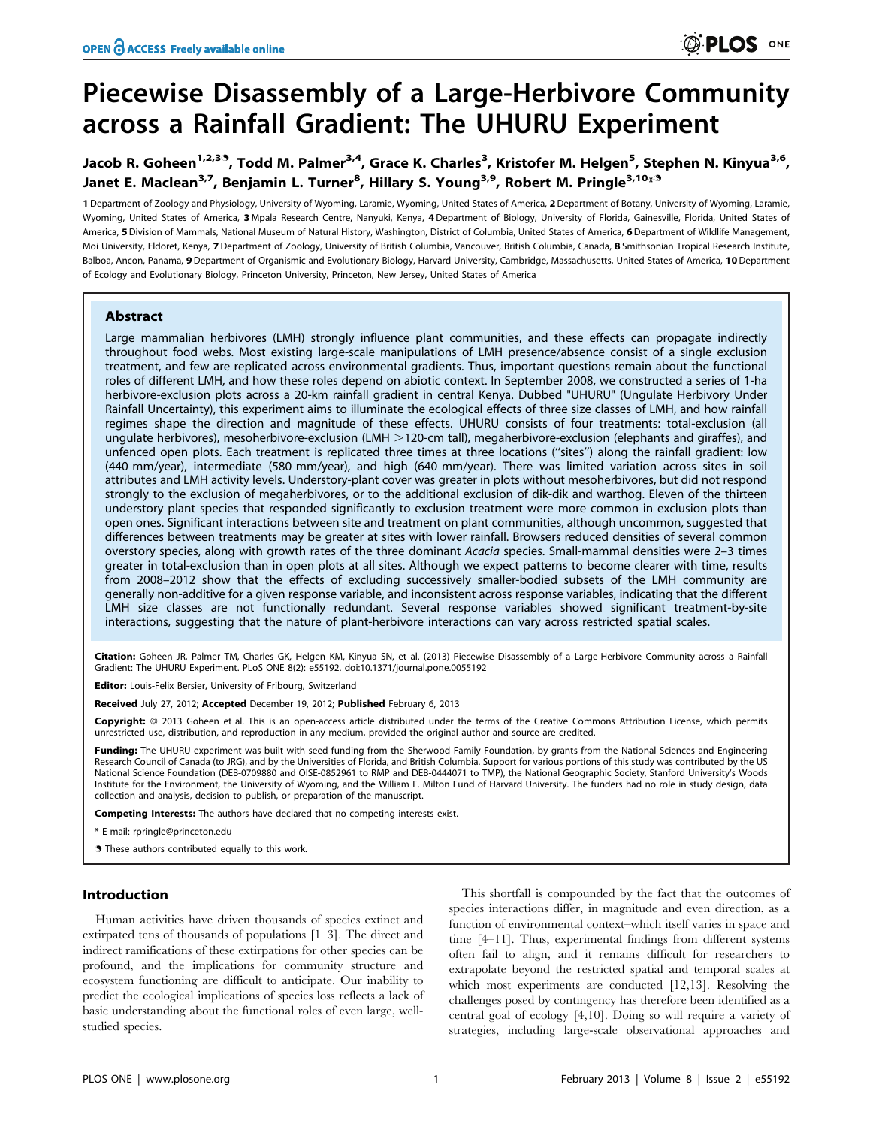# Piecewise Disassembly of a Large-Herbivore Community across a Rainfall Gradient: The UHURU Experiment

# Jacob R. Goheen<sup>1,2,39</sup>, Todd M. Palmer<sup>3,4</sup>, Grace K. Charles<sup>3</sup>, Kristofer M. Helgen<sup>5</sup>, Stephen N. Kinyua<sup>3,6</sup>, Janet E. Maclean<sup>3,7</sup>, Benjamin L. Turner<sup>8</sup>, Hillary S. Young<sup>3,9</sup>, Robert M. Pringle<sup>3,10</sup>\*<sup>9</sup>

1 Department of Zoology and Physiology, University of Wyoming, Laramie, Wyoming, United States of America, 2Department of Botany, University of Wyoming, Laramie, Wyoming, United States of America, 3 Mpala Research Centre, Nanyuki, Kenya, 4 Department of Biology, University of Florida, Gainesville, Florida, United States of America, 5 Division of Mammals, National Museum of Natural History, Washington, District of Columbia, United States of America, 6 Department of Wildlife Management, Moi University, Eldoret, Kenya, 7 Department of Zoology, University of British Columbia, Vancouver, British Columbia, Canada, 8 Smithsonian Tropical Research Institute, Balboa, Ancon, Panama, 9 Department of Organismic and Evolutionary Biology, Harvard University, Cambridge, Massachusetts, United States of America, 10 Department of Ecology and Evolutionary Biology, Princeton University, Princeton, New Jersey, United States of America

# Abstract

Large mammalian herbivores (LMH) strongly influence plant communities, and these effects can propagate indirectly throughout food webs. Most existing large-scale manipulations of LMH presence/absence consist of a single exclusion treatment, and few are replicated across environmental gradients. Thus, important questions remain about the functional roles of different LMH, and how these roles depend on abiotic context. In September 2008, we constructed a series of 1-ha herbivore-exclusion plots across a 20-km rainfall gradient in central Kenya. Dubbed "UHURU" (Ungulate Herbivory Under Rainfall Uncertainty), this experiment aims to illuminate the ecological effects of three size classes of LMH, and how rainfall regimes shape the direction and magnitude of these effects. UHURU consists of four treatments: total-exclusion (all ungulate herbivores), mesoherbivore-exclusion (LMH  $>$ 120-cm tall), megaherbivore-exclusion (elephants and giraffes), and unfenced open plots. Each treatment is replicated three times at three locations (''sites'') along the rainfall gradient: low (440 mm/year), intermediate (580 mm/year), and high (640 mm/year). There was limited variation across sites in soil attributes and LMH activity levels. Understory-plant cover was greater in plots without mesoherbivores, but did not respond strongly to the exclusion of megaherbivores, or to the additional exclusion of dik-dik and warthog. Eleven of the thirteen understory plant species that responded significantly to exclusion treatment were more common in exclusion plots than open ones. Significant interactions between site and treatment on plant communities, although uncommon, suggested that differences between treatments may be greater at sites with lower rainfall. Browsers reduced densities of several common overstory species, along with growth rates of the three dominant Acacia species. Small-mammal densities were 2–3 times greater in total-exclusion than in open plots at all sites. Although we expect patterns to become clearer with time, results from 2008–2012 show that the effects of excluding successively smaller-bodied subsets of the LMH community are generally non-additive for a given response variable, and inconsistent across response variables, indicating that the different LMH size classes are not functionally redundant. Several response variables showed significant treatment-by-site interactions, suggesting that the nature of plant-herbivore interactions can vary across restricted spatial scales.

Citation: Goheen JR, Palmer TM, Charles GK, Helgen KM, Kinyua SN, et al. (2013) Piecewise Disassembly of a Large-Herbivore Community across a Rainfall Gradient: The UHURU Experiment. PLoS ONE 8(2): e55192. doi:10.1371/journal.pone.0055192

Editor: Louis-Felix Bersier, University of Fribourg, Switzerland

Received July 27, 2012; Accepted December 19, 2012; Published February 6, 2013

Copyright: © 2013 Goheen et al. This is an open-access article distributed under the terms of the Creative Commons Attribution License, which permits unrestricted use, distribution, and reproduction in any medium, provided the original author and source are credited.

Funding: The UHURU experiment was built with seed funding from the Sherwood Family Foundation, by grants from the National Sciences and Engineering Research Council of Canada (to JRG), and by the Universities of Florida, and British Columbia. Support for various portions of this study was contributed by the US National Science Foundation (DEB-0709880 and OISE-0852961 to RMP and DEB-0444071 to TMP), the National Geographic Society, Stanford University's Woods Institute for the Environment, the University of Wyoming, and the William F. Milton Fund of Harvard University. The funders had no role in study design, data collection and analysis, decision to publish, or preparation of the manuscript.

Competing Interests: The authors have declared that no competing interests exist.

\* E-mail: rpringle@princeton.edu

**.** These authors contributed equally to this work.

# Introduction

Human activities have driven thousands of species extinct and extirpated tens of thousands of populations [1–3]. The direct and indirect ramifications of these extirpations for other species can be profound, and the implications for community structure and ecosystem functioning are difficult to anticipate. Our inability to predict the ecological implications of species loss reflects a lack of basic understanding about the functional roles of even large, wellstudied species.

This shortfall is compounded by the fact that the outcomes of species interactions differ, in magnitude and even direction, as a function of environmental context–which itself varies in space and time [4–11]. Thus, experimental findings from different systems often fail to align, and it remains difficult for researchers to extrapolate beyond the restricted spatial and temporal scales at which most experiments are conducted [12,13]. Resolving the challenges posed by contingency has therefore been identified as a central goal of ecology [4,10]. Doing so will require a variety of strategies, including large-scale observational approaches and

**DEDS** ONE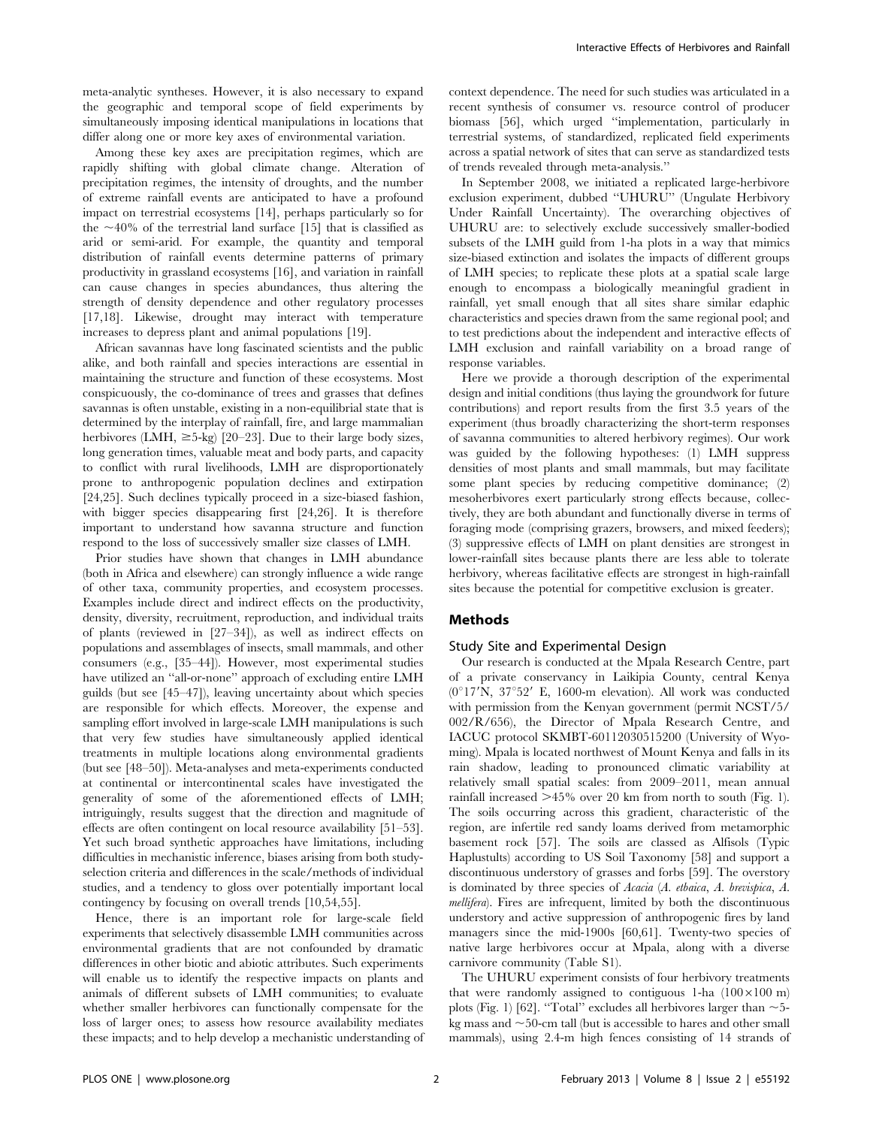meta-analytic syntheses. However, it is also necessary to expand the geographic and temporal scope of field experiments by simultaneously imposing identical manipulations in locations that differ along one or more key axes of environmental variation.

Among these key axes are precipitation regimes, which are rapidly shifting with global climate change. Alteration of precipitation regimes, the intensity of droughts, and the number of extreme rainfall events are anticipated to have a profound impact on terrestrial ecosystems [14], perhaps particularly so for the  $\sim$ 40% of the terrestrial land surface [15] that is classified as arid or semi-arid. For example, the quantity and temporal distribution of rainfall events determine patterns of primary productivity in grassland ecosystems [16], and variation in rainfall can cause changes in species abundances, thus altering the strength of density dependence and other regulatory processes [17,18]. Likewise, drought may interact with temperature increases to depress plant and animal populations [19].

African savannas have long fascinated scientists and the public alike, and both rainfall and species interactions are essential in maintaining the structure and function of these ecosystems. Most conspicuously, the co-dominance of trees and grasses that defines savannas is often unstable, existing in a non-equilibrial state that is determined by the interplay of rainfall, fire, and large mammalian herbivores (LMH,  $\geq$ 5-kg) [20–23]. Due to their large body sizes, long generation times, valuable meat and body parts, and capacity to conflict with rural livelihoods, LMH are disproportionately prone to anthropogenic population declines and extirpation [24,25]. Such declines typically proceed in a size-biased fashion, with bigger species disappearing first [24,26]. It is therefore important to understand how savanna structure and function respond to the loss of successively smaller size classes of LMH.

Prior studies have shown that changes in LMH abundance (both in Africa and elsewhere) can strongly influence a wide range of other taxa, community properties, and ecosystem processes. Examples include direct and indirect effects on the productivity, density, diversity, recruitment, reproduction, and individual traits of plants (reviewed in [27–34]), as well as indirect effects on populations and assemblages of insects, small mammals, and other consumers (e.g., [35–44]). However, most experimental studies have utilized an ''all-or-none'' approach of excluding entire LMH guilds (but see [45–47]), leaving uncertainty about which species are responsible for which effects. Moreover, the expense and sampling effort involved in large-scale LMH manipulations is such that very few studies have simultaneously applied identical treatments in multiple locations along environmental gradients (but see [48–50]). Meta-analyses and meta-experiments conducted at continental or intercontinental scales have investigated the generality of some of the aforementioned effects of LMH; intriguingly, results suggest that the direction and magnitude of effects are often contingent on local resource availability [51–53]. Yet such broad synthetic approaches have limitations, including difficulties in mechanistic inference, biases arising from both studyselection criteria and differences in the scale/methods of individual studies, and a tendency to gloss over potentially important local contingency by focusing on overall trends [10,54,55].

Hence, there is an important role for large-scale field experiments that selectively disassemble LMH communities across environmental gradients that are not confounded by dramatic differences in other biotic and abiotic attributes. Such experiments will enable us to identify the respective impacts on plants and animals of different subsets of LMH communities; to evaluate whether smaller herbivores can functionally compensate for the loss of larger ones; to assess how resource availability mediates these impacts; and to help develop a mechanistic understanding of context dependence. The need for such studies was articulated in a recent synthesis of consumer vs. resource control of producer biomass [56], which urged ''implementation, particularly in terrestrial systems, of standardized, replicated field experiments across a spatial network of sites that can serve as standardized tests of trends revealed through meta-analysis.''

In September 2008, we initiated a replicated large-herbivore exclusion experiment, dubbed ''UHURU'' (Ungulate Herbivory Under Rainfall Uncertainty). The overarching objectives of UHURU are: to selectively exclude successively smaller-bodied subsets of the LMH guild from 1-ha plots in a way that mimics size-biased extinction and isolates the impacts of different groups of LMH species; to replicate these plots at a spatial scale large enough to encompass a biologically meaningful gradient in rainfall, yet small enough that all sites share similar edaphic characteristics and species drawn from the same regional pool; and to test predictions about the independent and interactive effects of LMH exclusion and rainfall variability on a broad range of response variables.

Here we provide a thorough description of the experimental design and initial conditions (thus laying the groundwork for future contributions) and report results from the first 3.5 years of the experiment (thus broadly characterizing the short-term responses of savanna communities to altered herbivory regimes). Our work was guided by the following hypotheses: (1) LMH suppress densities of most plants and small mammals, but may facilitate some plant species by reducing competitive dominance; (2) mesoherbivores exert particularly strong effects because, collectively, they are both abundant and functionally diverse in terms of foraging mode (comprising grazers, browsers, and mixed feeders); (3) suppressive effects of LMH on plant densities are strongest in lower-rainfall sites because plants there are less able to tolerate herbivory, whereas facilitative effects are strongest in high-rainfall sites because the potential for competitive exclusion is greater.

# Methods

#### Study Site and Experimental Design

Our research is conducted at the Mpala Research Centre, part of a private conservancy in Laikipia County, central Kenya  $(0°17'N, 37°52' E, 1600-m$  elevation). All work was conducted with permission from the Kenyan government (permit NCST/5/ 002/R/656), the Director of Mpala Research Centre, and IACUC protocol SKMBT-60112030515200 (University of Wyoming). Mpala is located northwest of Mount Kenya and falls in its rain shadow, leading to pronounced climatic variability at relatively small spatial scales: from 2009–2011, mean annual rainfall increased  $>45\%$  over 20 km from north to south (Fig. 1). The soils occurring across this gradient, characteristic of the region, are infertile red sandy loams derived from metamorphic basement rock [57]. The soils are classed as Alfisols (Typic Haplustults) according to US Soil Taxonomy [58] and support a discontinuous understory of grasses and forbs [59]. The overstory is dominated by three species of Acacia (A. etbaica, A. brevispica, A. mellifera). Fires are infrequent, limited by both the discontinuous understory and active suppression of anthropogenic fires by land managers since the mid-1900s [60,61]. Twenty-two species of native large herbivores occur at Mpala, along with a diverse carnivore community (Table S1).

The UHURU experiment consists of four herbivory treatments that were randomly assigned to contiguous 1-ha  $(100 \times 100 \text{ m})$ plots (Fig. 1) [62]. "Total" excludes all herbivores larger than  $\sim$  5kg mass and  $\sim$ 50-cm tall (but is accessible to hares and other small mammals), using 2.4-m high fences consisting of 14 strands of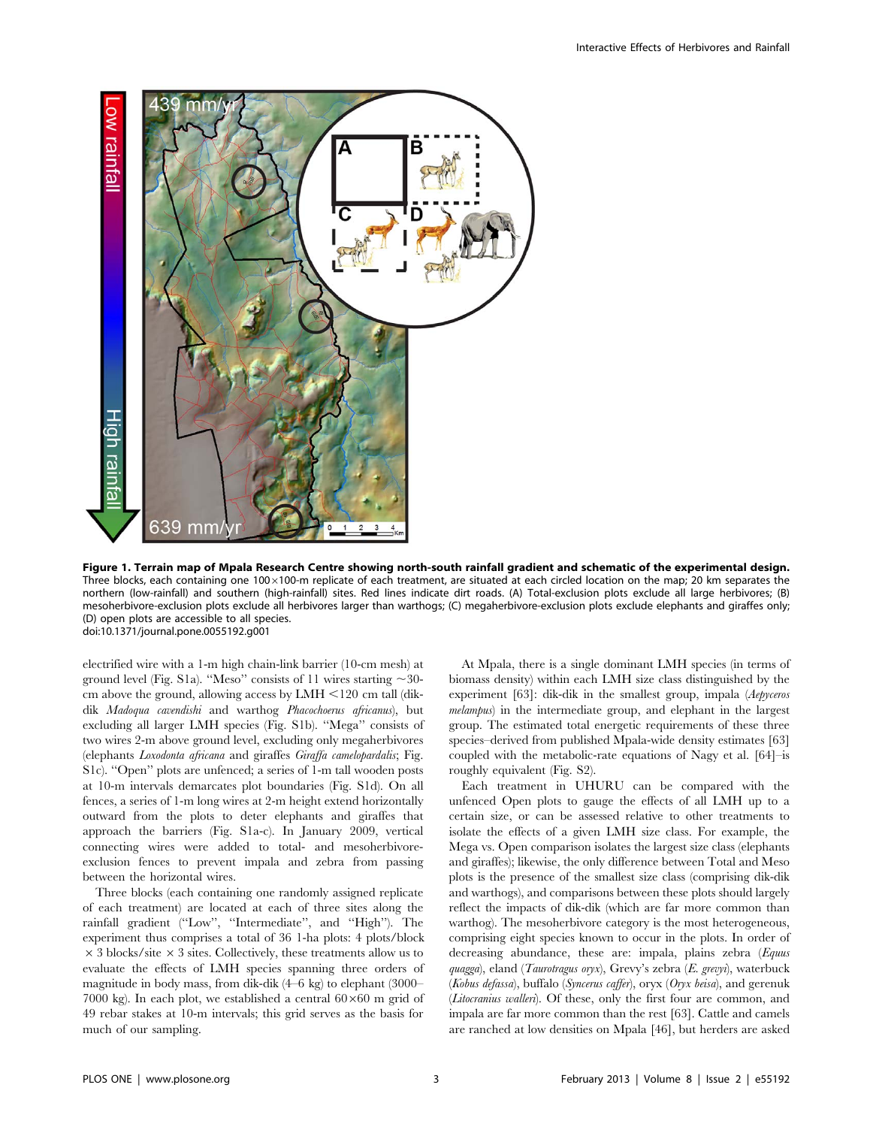

Figure 1. Terrain map of Mpala Research Centre showing north-south rainfall gradient and schematic of the experimental design. Three blocks, each containing one  $100\times100$ -m replicate of each treatment, are situated at each circled location on the map; 20 km separates the northern (low-rainfall) and southern (high-rainfall) sites. Red lines indicate dirt roads. (A) Total-exclusion plots exclude all large herbivores; (B) mesoherbivore-exclusion plots exclude all herbivores larger than warthogs; (C) megaherbivore-exclusion plots exclude elephants and giraffes only; (D) open plots are accessible to all species. doi:10.1371/journal.pone.0055192.g001

electrified wire with a 1-m high chain-link barrier (10-cm mesh) at ground level (Fig. S1a). "Meso" consists of 11 wires starting  $\sim$ 30cm above the ground, allowing access by LMH  $\leq$ 120 cm tall (dikdik Madoqua cavendishi and warthog Phacochoerus africanus), but excluding all larger LMH species (Fig. S1b). ''Mega'' consists of two wires 2-m above ground level, excluding only megaherbivores (elephants Loxodonta africana and giraffes Giraffa camelopardalis; Fig. S1c). ''Open'' plots are unfenced; a series of 1-m tall wooden posts at 10-m intervals demarcates plot boundaries (Fig. S1d). On all fences, a series of 1-m long wires at 2-m height extend horizontally outward from the plots to deter elephants and giraffes that approach the barriers (Fig. S1a-c). In January 2009, vertical connecting wires were added to total- and mesoherbivoreexclusion fences to prevent impala and zebra from passing between the horizontal wires.

Three blocks (each containing one randomly assigned replicate of each treatment) are located at each of three sites along the rainfall gradient (''Low'', ''Intermediate'', and ''High''). The experiment thus comprises a total of 36 1-ha plots: 4 plots/block  $\times$  3 blocks/site  $\times$  3 sites. Collectively, these treatments allow us to evaluate the effects of LMH species spanning three orders of magnitude in body mass, from dik-dik (4–6 kg) to elephant (3000– 7000 kg). In each plot, we established a central  $60\times60$  m grid of 49 rebar stakes at 10-m intervals; this grid serves as the basis for much of our sampling.

At Mpala, there is a single dominant LMH species (in terms of biomass density) within each LMH size class distinguished by the experiment [63]: dik-dik in the smallest group, impala (Aepyceros melampus) in the intermediate group, and elephant in the largest group. The estimated total energetic requirements of these three species–derived from published Mpala-wide density estimates [63] coupled with the metabolic-rate equations of Nagy et al. [64]–is roughly equivalent (Fig. S2).

Each treatment in UHURU can be compared with the unfenced Open plots to gauge the effects of all LMH up to a certain size, or can be assessed relative to other treatments to isolate the effects of a given LMH size class. For example, the Mega vs. Open comparison isolates the largest size class (elephants and giraffes); likewise, the only difference between Total and Meso plots is the presence of the smallest size class (comprising dik-dik and warthogs), and comparisons between these plots should largely reflect the impacts of dik-dik (which are far more common than warthog). The mesoherbivore category is the most heterogeneous, comprising eight species known to occur in the plots. In order of decreasing abundance, these are: impala, plains zebra (Equus quagga), eland (Taurotragus oryx), Grevy's zebra (E. grevyi), waterbuck (Kobus defassa), buffalo (Syncerus caffer),  $\text{or} \text{y} \text{x}$  (Oryx beisa), and gerenuk (Litocranius walleri). Of these, only the first four are common, and impala are far more common than the rest [63]. Cattle and camels are ranched at low densities on Mpala [46], but herders are asked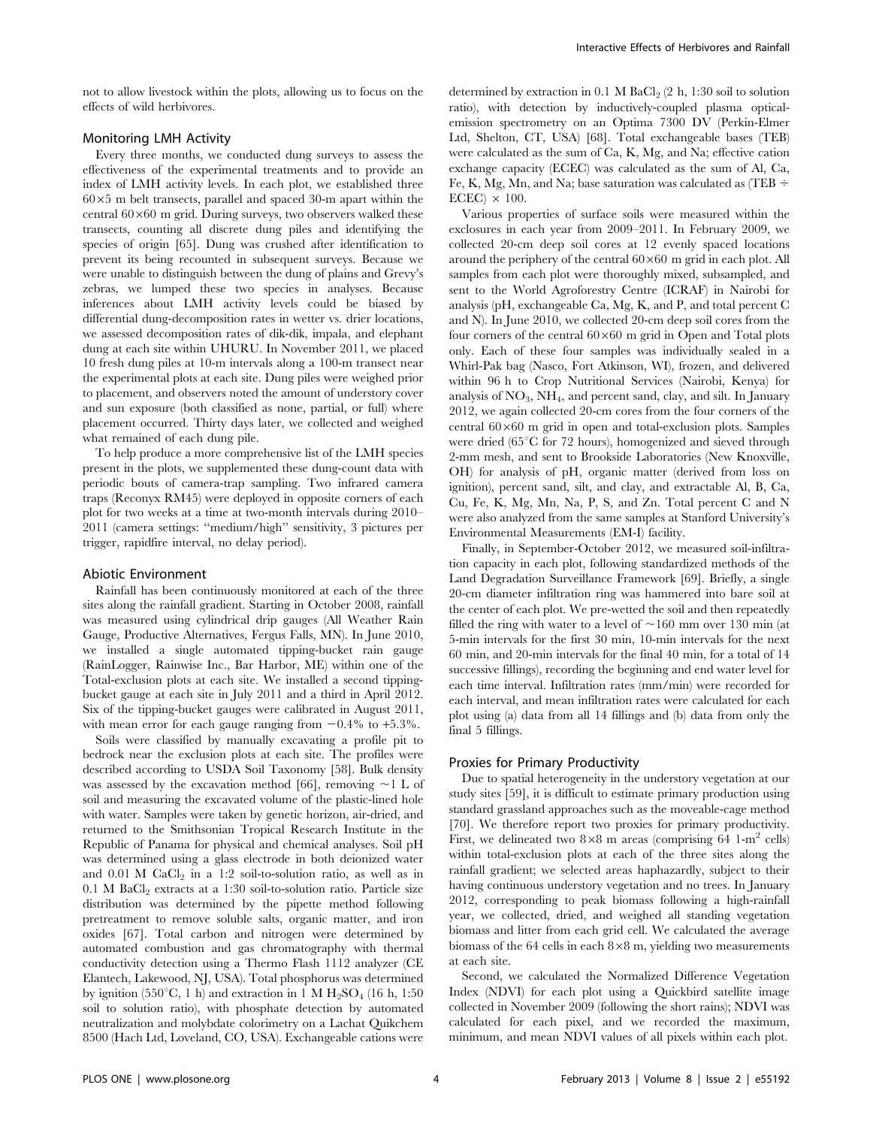not to allow livestock within the plots, allowing us to focus on the effects of wild herbivores.

# Monitoring LMH Activity

Every three months, we conducted dung surveys to assess the effectiveness of the experimental treatments and to provide an index of LMH activity levels. In each plot, we established three  $60\times5$  m belt transects, parallel and spaced 30-m apart within the central  $60\times60$  m grid. During surveys, two observers walked these transects, counting all discrete dung piles and identifying the species of origin [65]. Dung was crushed after identification to prevent its being recounted in subsequent surveys. Because we were unable to distinguish between the dung of plains and Grevy's zebras, we lumped these two species in analyses. Because inferences about LMH activity levels could be biased by differential dung-decomposition rates in wetter vs. drier locations, we assessed decomposition rates of dik-dik, impala, and elephant dung at each site within UHURU. In November 2011, we placed 10 fresh dung piles at 10-m intervals along a 100-m transect near the experimental plots at each site. Dung piles were weighed prior to placement, and observers noted the amount of understory cover and sun exposure (both classified as none, partial, or full) where placement occurred. Thirty days later, we collected and weighed what remained of each dung pile.

To help produce a more comprehensive list of the LMH species present in the plots, we supplemented these dung-count data with periodic bouts of camera-trap sampling. Two infrared camera traps (Reconyx RM45) were deployed in opposite corners of each plot for two weeks at a time at two-month intervals during 2010– 2011 (camera settings: ''medium/high'' sensitivity, 3 pictures per trigger, rapidfire interval, no delay period).

#### Abiotic Environment

Rainfall has been continuously monitored at each of the three sites along the rainfall gradient. Starting in October 2008, rainfall was measured using cylindrical drip gauges (All Weather Rain Gauge, Productive Alternatives, Fergus Falls, MN). In June 2010, we installed a single automated tipping-bucket rain gauge (RainLogger, Rainwise Inc., Bar Harbor, ME) within one of the Total-exclusion plots at each site. We installed a second tippingbucket gauge at each site in July 2011 and a third in April 2012. Six of the tipping-bucket gauges were calibrated in August 2011, with mean error for each gauge ranging from  $-0.4\%$  to  $+5.3\%$ .

Soils were classified by manually excavating a profile pit to bedrock near the exclusion plots at each site. The profiles were described according to USDA Soil Taxonomy [58]. Bulk density was assessed by the excavation method [66], removing  $\sim$ 1 L of soil and measuring the excavated volume of the plastic-lined hole with water. Samples were taken by genetic horizon, air-dried, and returned to the Smithsonian Tropical Research Institute in the Republic of Panama for physical and chemical analyses. Soil pH was determined using a glass electrode in both deionized water and  $0.01$  M CaCl<sub>2</sub> in a 1:2 soil-to-solution ratio, as well as in  $0.1$  M BaCl<sub>2</sub> extracts at a 1:30 soil-to-solution ratio. Particle size distribution was determined by the pipette method following pretreatment to remove soluble salts, organic matter, and iron oxides [67]. Total carbon and nitrogen were determined by automated combustion and gas chromatography with thermal conductivity detection using a Thermo Flash 1112 analyzer (CE Elantech, Lakewood, NJ, USA). Total phosphorus was determined by ignition (550°C, 1 h) and extraction in 1 M  $H_2SO_4$  (16 h, 1:50 soil to solution ratio), with phosphate detection by automated neutralization and molybdate colorimetry on a Lachat Quikchem 8500 (Hach Ltd, Loveland, CO, USA). Exchangeable cations were

determined by extraction in 0.1 M BaCl<sub>2</sub>  $(2 h, 1:30 s$ oil to solution ratio), with detection by inductively-coupled plasma opticalemission spectrometry on an Optima 7300 DV (Perkin-Elmer Ltd, Shelton, CT, USA) [68]. Total exchangeable bases (TEB) were calculated as the sum of Ca, K, Mg, and Na; effective cation exchange capacity (ECEC) was calculated as the sum of Al, Ca, Fe, K, Mg, Mn, and Na; base saturation was calculated as (TEB  $\div$  $ECEC$ )  $\times$  100.

Various properties of surface soils were measured within the exclosures in each year from 2009–2011. In February 2009, we collected 20-cm deep soil cores at 12 evenly spaced locations around the periphery of the central  $60\times60$  m grid in each plot. All samples from each plot were thoroughly mixed, subsampled, and sent to the World Agroforestry Centre (ICRAF) in Nairobi for analysis (pH, exchangeable Ca, Mg, K, and P, and total percent C and N). In June 2010, we collected 20-cm deep soil cores from the four corners of the central  $60\times60$  m grid in Open and Total plots only. Each of these four samples was individually sealed in a Whirl-Pak bag (Nasco, Fort Atkinson, WI), frozen, and delivered within 96 h to Crop Nutritional Services (Nairobi, Kenya) for analysis of  $NO<sub>3</sub>$ ,  $NH<sub>4</sub>$ , and percent sand, clay, and silt. In January 2012, we again collected 20-cm cores from the four corners of the central  $60\times60$  m grid in open and total-exclusion plots. Samples were dried ( $65^{\circ}$ C for 72 hours), homogenized and sieved through 2-mm mesh, and sent to Brookside Laboratories (New Knoxville, OH) for analysis of pH, organic matter (derived from loss on ignition), percent sand, silt, and clay, and extractable Al, B, Ca, Cu, Fe, K, Mg, Mn, Na, P, S, and Zn. Total percent C and N were also analyzed from the same samples at Stanford University's Environmental Measurements (EM-I) facility.

Finally, in September-October 2012, we measured soil-infiltration capacity in each plot, following standardized methods of the Land Degradation Surveillance Framework [69]. Briefly, a single 20-cm diameter infiltration ring was hammered into bare soil at the center of each plot. We pre-wetted the soil and then repeatedly filled the ring with water to a level of  $\sim$ 160 mm over 130 min (at 5-min intervals for the first 30 min, 10-min intervals for the next 60 min, and 20-min intervals for the final 40 min, for a total of 14 successive fillings), recording the beginning and end water level for each time interval. Infiltration rates (mm/min) were recorded for each interval, and mean infiltration rates were calculated for each plot using (a) data from all 14 fillings and (b) data from only the final 5 fillings.

# Proxies for Primary Productivity

Due to spatial heterogeneity in the understory vegetation at our study sites [59], it is difficult to estimate primary production using standard grassland approaches such as the moveable-cage method [70]. We therefore report two proxies for primary productivity. First, we delineated two  $8\times8$  m areas (comprising 64 1-m<sup>2</sup> cells) within total-exclusion plots at each of the three sites along the rainfall gradient; we selected areas haphazardly, subject to their having continuous understory vegetation and no trees. In January 2012, corresponding to peak biomass following a high-rainfall year, we collected, dried, and weighed all standing vegetation biomass and litter from each grid cell. We calculated the average biomass of the 64 cells in each  $8\times8$  m, yielding two measurements at each site.

Second, we calculated the Normalized Difference Vegetation Index (NDVI) for each plot using a Quickbird satellite image collected in November 2009 (following the short rains); NDVI was calculated for each pixel, and we recorded the maximum, minimum, and mean NDVI values of all pixels within each plot.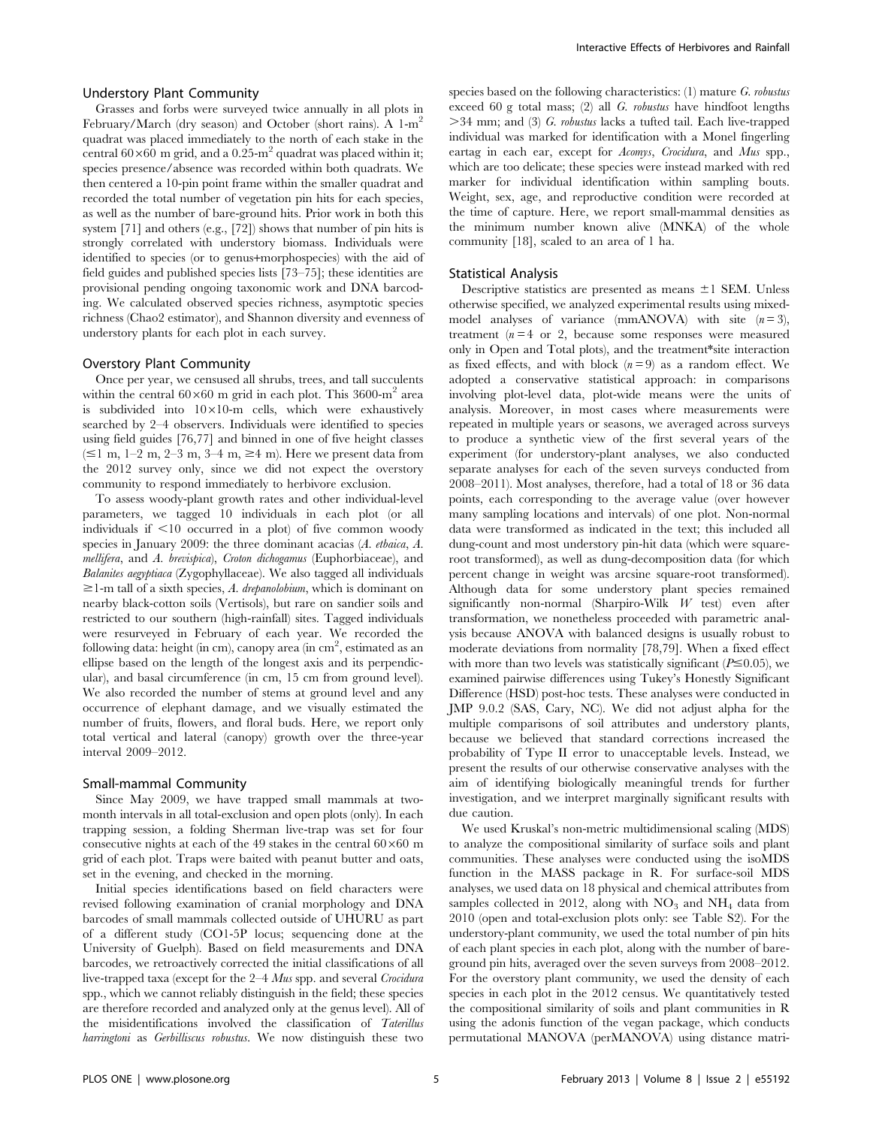# Understory Plant Community

Grasses and forbs were surveyed twice annually in all plots in February/March (dry season) and October (short rains). A  $1-m^2$ quadrat was placed immediately to the north of each stake in the central  $60\times60$  m grid, and a 0.25-m<sup>2</sup> quadrat was placed within it; species presence/absence was recorded within both quadrats. We then centered a 10-pin point frame within the smaller quadrat and recorded the total number of vegetation pin hits for each species, as well as the number of bare-ground hits. Prior work in both this system [71] and others (e.g., [72]) shows that number of pin hits is strongly correlated with understory biomass. Individuals were identified to species (or to genus+morphospecies) with the aid of field guides and published species lists [73–75]; these identities are provisional pending ongoing taxonomic work and DNA barcoding. We calculated observed species richness, asymptotic species richness (Chao2 estimator), and Shannon diversity and evenness of understory plants for each plot in each survey.

## Overstory Plant Community

Once per year, we censused all shrubs, trees, and tall succulents within the central  $60\times60$  m grid in each plot. This 3600-m<sup>2</sup> area is subdivided into  $10\times10$ -m cells, which were exhaustively searched by 2–4 observers. Individuals were identified to species using field guides [76,77] and binned in one of five height classes  $(\leq 1 \text{ m}, 1-2 \text{ m}, 2-3 \text{ m}, 3-4 \text{ m}, \geq 4 \text{ m})$ . Here we present data from the 2012 survey only, since we did not expect the overstory community to respond immediately to herbivore exclusion.

To assess woody-plant growth rates and other individual-level parameters, we tagged 10 individuals in each plot (or all individuals if  $\leq 10$  occurred in a plot) of five common woody species in January 2009: the three dominant acacias (A. etbaica, A. mellifera, and A. brevispica), Croton dichogamus (Euphorbiaceae), and Balanites aegyptiaca (Zygophyllaceae). We also tagged all individuals  $\geq$ 1-m tall of a sixth species, A. drepanolobium, which is dominant on nearby black-cotton soils (Vertisols), but rare on sandier soils and restricted to our southern (high-rainfall) sites. Tagged individuals were resurveyed in February of each year. We recorded the following data: height (in cm), canopy area (in  $\mathrm{cm}^2,$  estimated as an ellipse based on the length of the longest axis and its perpendicular), and basal circumference (in cm, 15 cm from ground level). We also recorded the number of stems at ground level and any occurrence of elephant damage, and we visually estimated the number of fruits, flowers, and floral buds. Here, we report only total vertical and lateral (canopy) growth over the three-year interval 2009–2012.

#### Small-mammal Community

Since May 2009, we have trapped small mammals at twomonth intervals in all total-exclusion and open plots (only). In each trapping session, a folding Sherman live-trap was set for four consecutive nights at each of the 49 stakes in the central  $60\times60$  m grid of each plot. Traps were baited with peanut butter and oats, set in the evening, and checked in the morning.

Initial species identifications based on field characters were revised following examination of cranial morphology and DNA barcodes of small mammals collected outside of UHURU as part of a different study (CO1-5P locus; sequencing done at the University of Guelph). Based on field measurements and DNA barcodes, we retroactively corrected the initial classifications of all live-trapped taxa (except for the 2–4 Mus spp. and several Crocidura spp., which we cannot reliably distinguish in the field; these species are therefore recorded and analyzed only at the genus level). All of the misidentifications involved the classification of Taterillus harringtoni as Gerbilliscus robustus. We now distinguish these two species based on the following characteristics:  $(1)$  mature G. robustus exceed 60 g total mass; (2) all G. robustus have hindfoot lengths  $>34$  mm; and (3) G. robustus lacks a tufted tail. Each live-trapped individual was marked for identification with a Monel fingerling eartag in each ear, except for Acomys, Crocidura, and Mus spp., which are too delicate; these species were instead marked with red marker for individual identification within sampling bouts. Weight, sex, age, and reproductive condition were recorded at the time of capture. Here, we report small-mammal densities as the minimum number known alive (MNKA) of the whole community [18], scaled to an area of 1 ha.

#### Statistical Analysis

Descriptive statistics are presented as means  $\pm 1$  SEM. Unless otherwise specified, we analyzed experimental results using mixedmodel analyses of variance (mmANOVA) with site  $(n=3)$ , treatment  $(n=4 \text{ or } 2)$ , because some responses were measured only in Open and Total plots), and the treatment\*site interaction as fixed effects, and with block  $(n=9)$  as a random effect. We adopted a conservative statistical approach: in comparisons involving plot-level data, plot-wide means were the units of analysis. Moreover, in most cases where measurements were repeated in multiple years or seasons, we averaged across surveys to produce a synthetic view of the first several years of the experiment (for understory-plant analyses, we also conducted separate analyses for each of the seven surveys conducted from 2008–2011). Most analyses, therefore, had a total of 18 or 36 data points, each corresponding to the average value (over however many sampling locations and intervals) of one plot. Non-normal data were transformed as indicated in the text; this included all dung-count and most understory pin-hit data (which were squareroot transformed), as well as dung-decomposition data (for which percent change in weight was arcsine square-root transformed). Although data for some understory plant species remained significantly non-normal (Sharpiro-Wilk W test) even after transformation, we nonetheless proceeded with parametric analysis because ANOVA with balanced designs is usually robust to moderate deviations from normality [78,79]. When a fixed effect with more than two levels was statistically significant ( $P \le 0.05$ ), we examined pairwise differences using Tukey's Honestly Significant Difference (HSD) post-hoc tests. These analyses were conducted in JMP 9.0.2 (SAS, Cary, NC). We did not adjust alpha for the multiple comparisons of soil attributes and understory plants, because we believed that standard corrections increased the probability of Type II error to unacceptable levels. Instead, we present the results of our otherwise conservative analyses with the aim of identifying biologically meaningful trends for further investigation, and we interpret marginally significant results with due caution.

We used Kruskal's non-metric multidimensional scaling (MDS) to analyze the compositional similarity of surface soils and plant communities. These analyses were conducted using the isoMDS function in the MASS package in R. For surface-soil MDS analyses, we used data on 18 physical and chemical attributes from samples collected in 2012, along with  $NO<sub>3</sub>$  and  $NH<sub>4</sub>$  data from 2010 (open and total-exclusion plots only: see Table S2). For the understory-plant community, we used the total number of pin hits of each plant species in each plot, along with the number of bareground pin hits, averaged over the seven surveys from 2008–2012. For the overstory plant community, we used the density of each species in each plot in the 2012 census. We quantitatively tested the compositional similarity of soils and plant communities in R using the adonis function of the vegan package, which conducts permutational MANOVA (perMANOVA) using distance matri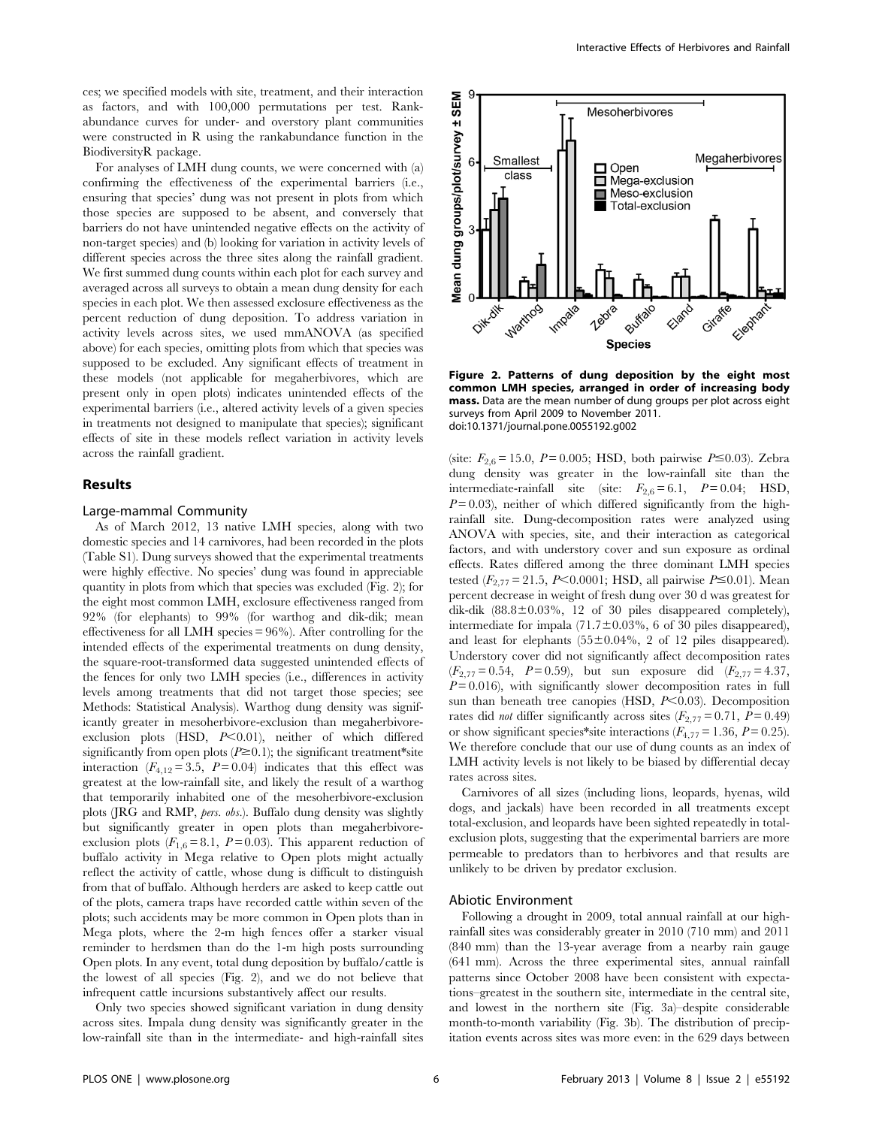ces; we specified models with site, treatment, and their interaction as factors, and with 100,000 permutations per test. Rankabundance curves for under- and overstory plant communities were constructed in R using the rankabundance function in the BiodiversityR package.

For analyses of LMH dung counts, we were concerned with (a) confirming the effectiveness of the experimental barriers (i.e., ensuring that species' dung was not present in plots from which those species are supposed to be absent, and conversely that barriers do not have unintended negative effects on the activity of non-target species) and (b) looking for variation in activity levels of different species across the three sites along the rainfall gradient. We first summed dung counts within each plot for each survey and averaged across all surveys to obtain a mean dung density for each species in each plot. We then assessed exclosure effectiveness as the percent reduction of dung deposition. To address variation in activity levels across sites, we used mmANOVA (as specified above) for each species, omitting plots from which that species was supposed to be excluded. Any significant effects of treatment in these models (not applicable for megaherbivores, which are present only in open plots) indicates unintended effects of the experimental barriers (i.e., altered activity levels of a given species in treatments not designed to manipulate that species); significant effects of site in these models reflect variation in activity levels across the rainfall gradient.

# Results

#### Large-mammal Community

As of March 2012, 13 native LMH species, along with two domestic species and 14 carnivores, had been recorded in the plots (Table S1). Dung surveys showed that the experimental treatments were highly effective. No species' dung was found in appreciable quantity in plots from which that species was excluded (Fig. 2); for the eight most common LMH, exclosure effectiveness ranged from 92% (for elephants) to 99% (for warthog and dik-dik; mean effectiveness for all LMH species = 96%). After controlling for the intended effects of the experimental treatments on dung density, the square-root-transformed data suggested unintended effects of the fences for only two LMH species (i.e., differences in activity levels among treatments that did not target those species; see Methods: Statistical Analysis). Warthog dung density was significantly greater in mesoherbivore-exclusion than megaherbivoreexclusion plots (HSD,  $P<0.01$ ), neither of which differed significantly from open plots  $(P\geq 0.1)$ ; the significant treatment\*site interaction ( $F_{4,12} = 3.5$ ,  $P = 0.04$ ) indicates that this effect was greatest at the low-rainfall site, and likely the result of a warthog that temporarily inhabited one of the mesoherbivore-exclusion plots (JRG and RMP, pers. obs.). Buffalo dung density was slightly but significantly greater in open plots than megaherbivoreexclusion plots  $(F_{1,6} = 8.1, P = 0.03)$ . This apparent reduction of buffalo activity in Mega relative to Open plots might actually reflect the activity of cattle, whose dung is difficult to distinguish from that of buffalo. Although herders are asked to keep cattle out of the plots, camera traps have recorded cattle within seven of the plots; such accidents may be more common in Open plots than in Mega plots, where the 2-m high fences offer a starker visual reminder to herdsmen than do the 1-m high posts surrounding Open plots. In any event, total dung deposition by buffalo/cattle is the lowest of all species (Fig. 2), and we do not believe that infrequent cattle incursions substantively affect our results.

Only two species showed significant variation in dung density across sites. Impala dung density was significantly greater in the low-rainfall site than in the intermediate- and high-rainfall sites



Figure 2. Patterns of dung deposition by the eight most common LMH species, arranged in order of increasing body mass. Data are the mean number of dung groups per plot across eight surveys from April 2009 to November 2011. doi:10.1371/journal.pone.0055192.g002

(site:  $F_{2,6} = 15.0$ ,  $P = 0.005$ ; HSD, both pairwise  $P \le 0.03$ ). Zebra dung density was greater in the low-rainfall site than the intermediate-rainfall site (site:  $F_{2,6} = 6.1$ ,  $P = 0.04$ ; HSD,  $P=0.03$ ), neither of which differed significantly from the highrainfall site. Dung-decomposition rates were analyzed using ANOVA with species, site, and their interaction as categorical factors, and with understory cover and sun exposure as ordinal effects. Rates differed among the three dominant LMH species tested ( $F_{2,77} = 21.5$ , P<0.0001; HSD, all pairwise P ≤0.01). Mean percent decrease in weight of fresh dung over 30 d was greatest for dik-dik  $(88.8 \pm 0.03\%, 12 \text{ of } 30 \text{ piles disappeared completely}),$ intermediate for impala  $(71.7 \pm 0.03\% , 6$  of 30 piles disappeared), and least for elephants  $(55\pm0.04\%, 2 \text{ of } 12 \text{ piles disappeared}).$ Understory cover did not significantly affect decomposition rates  $(F_{2,77}= 0.54, P = 0.59)$ , but sun exposure did  $(F_{2,77}= 4.37,$  $P=0.016$ ), with significantly slower decomposition rates in full sun than beneath tree canopies (HSD,  $P<0.03$ ). Decomposition rates did *not* differ significantly across sites  $(F_{2,77} = 0.71, P = 0.49)$ or show significant species\*site interactions  $(F_{4,77} = 1.36, P = 0.25)$ . We therefore conclude that our use of dung counts as an index of LMH activity levels is not likely to be biased by differential decay rates across sites.

Carnivores of all sizes (including lions, leopards, hyenas, wild dogs, and jackals) have been recorded in all treatments except total-exclusion, and leopards have been sighted repeatedly in totalexclusion plots, suggesting that the experimental barriers are more permeable to predators than to herbivores and that results are unlikely to be driven by predator exclusion.

#### Abiotic Environment

Following a drought in 2009, total annual rainfall at our highrainfall sites was considerably greater in 2010 (710 mm) and 2011 (840 mm) than the 13-year average from a nearby rain gauge (641 mm). Across the three experimental sites, annual rainfall patterns since October 2008 have been consistent with expectations–greatest in the southern site, intermediate in the central site, and lowest in the northern site (Fig. 3a)–despite considerable month-to-month variability (Fig. 3b). The distribution of precipitation events across sites was more even: in the 629 days between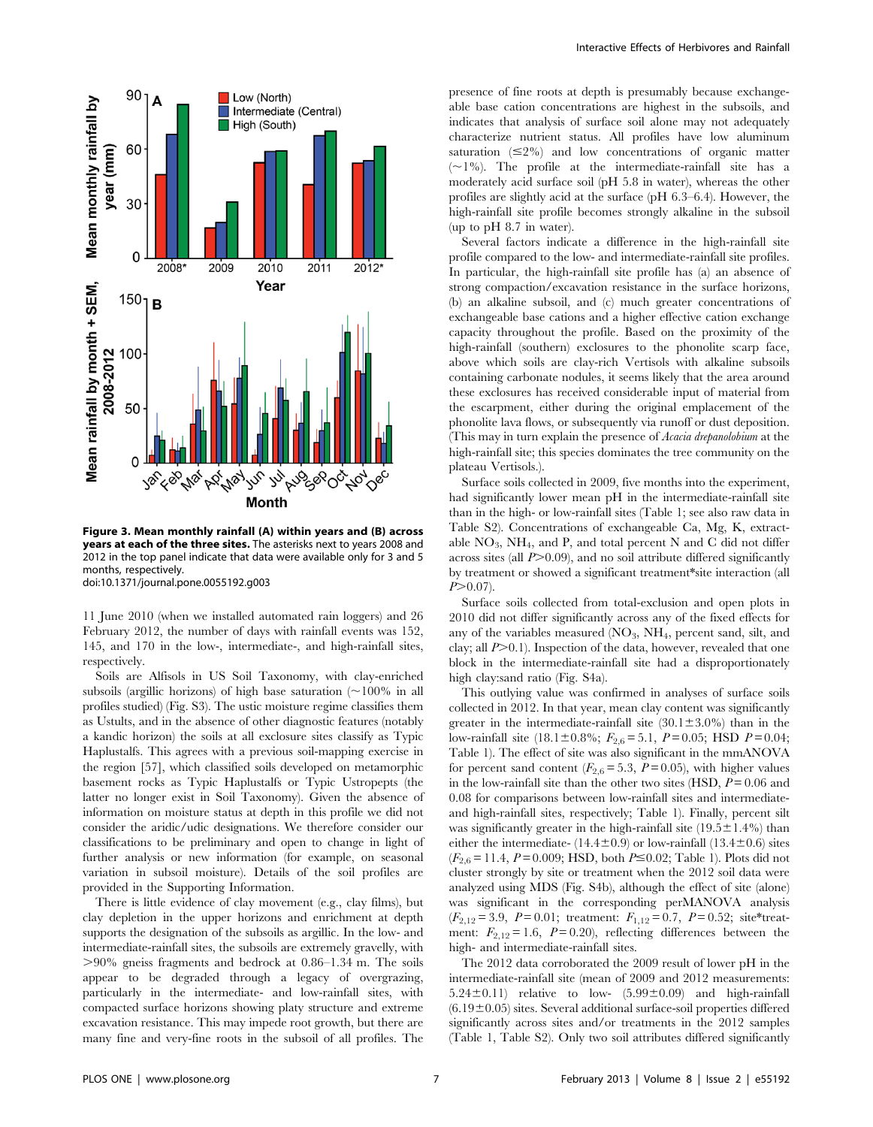

Figure 3. Mean monthly rainfall (A) within years and (B) across years at each of the three sites. The asterisks next to years 2008 and 2012 in the top panel indicate that data were available only for 3 and 5 months, respectively. doi:10.1371/journal.pone.0055192.g003

11 June 2010 (when we installed automated rain loggers) and 26 February 2012, the number of days with rainfall events was 152, 145, and 170 in the low-, intermediate-, and high-rainfall sites, respectively.

Soils are Alfisols in US Soil Taxonomy, with clay-enriched subsoils (argillic horizons) of high base saturation  $\sim 100\%$  in all profiles studied) (Fig. S3). The ustic moisture regime classifies them as Ustults, and in the absence of other diagnostic features (notably a kandic horizon) the soils at all exclosure sites classify as Typic Haplustalfs. This agrees with a previous soil-mapping exercise in the region [57], which classified soils developed on metamorphic basement rocks as Typic Haplustalfs or Typic Ustropepts (the latter no longer exist in Soil Taxonomy). Given the absence of information on moisture status at depth in this profile we did not consider the aridic/udic designations. We therefore consider our classifications to be preliminary and open to change in light of further analysis or new information (for example, on seasonal variation in subsoil moisture). Details of the soil profiles are provided in the Supporting Information.

There is little evidence of clay movement (e.g., clay films), but clay depletion in the upper horizons and enrichment at depth supports the designation of the subsoils as argillic. In the low- and intermediate-rainfall sites, the subsoils are extremely gravelly, with  $>90\%$  gneiss fragments and bedrock at 0.86–1.34 m. The soils appear to be degraded through a legacy of overgrazing, particularly in the intermediate- and low-rainfall sites, with compacted surface horizons showing platy structure and extreme excavation resistance. This may impede root growth, but there are many fine and very-fine roots in the subsoil of all profiles. The

presence of fine roots at depth is presumably because exchangeable base cation concentrations are highest in the subsoils, and indicates that analysis of surface soil alone may not adequately characterize nutrient status. All profiles have low aluminum saturation  $(\leq 2\%)$  and low concentrations of organic matter  $(\sim1\%)$ . The profile at the intermediate-rainfall site has a moderately acid surface soil (pH 5.8 in water), whereas the other profiles are slightly acid at the surface (pH 6.3–6.4). However, the high-rainfall site profile becomes strongly alkaline in the subsoil (up to pH 8.7 in water).

Several factors indicate a difference in the high-rainfall site profile compared to the low- and intermediate-rainfall site profiles. In particular, the high-rainfall site profile has (a) an absence of strong compaction/excavation resistance in the surface horizons, (b) an alkaline subsoil, and (c) much greater concentrations of exchangeable base cations and a higher effective cation exchange capacity throughout the profile. Based on the proximity of the high-rainfall (southern) exclosures to the phonolite scarp face, above which soils are clay-rich Vertisols with alkaline subsoils containing carbonate nodules, it seems likely that the area around these exclosures has received considerable input of material from the escarpment, either during the original emplacement of the phonolite lava flows, or subsequently via runoff or dust deposition. (This may in turn explain the presence of *Acacia drepanolobium* at the high-rainfall site; this species dominates the tree community on the plateau Vertisols.).

Surface soils collected in 2009, five months into the experiment, had significantly lower mean pH in the intermediate-rainfall site than in the high- or low-rainfall sites (Table 1; see also raw data in Table S2). Concentrations of exchangeable Ca, Mg, K, extractable  $NO_3$ ,  $NH_4$ , and P, and total percent N and C did not differ across sites (all  $P > 0.09$ ), and no soil attribute differed significantly by treatment or showed a significant treatment\*site interaction (all  $P > 0.07$ ).

Surface soils collected from total-exclusion and open plots in 2010 did not differ significantly across any of the fixed effects for any of the variables measured  $(NO_3, NH_4,$  percent sand, silt, and clay; all  $P>0.1$ ). Inspection of the data, however, revealed that one block in the intermediate-rainfall site had a disproportionately high clay:sand ratio (Fig. S4a).

This outlying value was confirmed in analyses of surface soils collected in 2012. In that year, mean clay content was significantly greater in the intermediate-rainfall site  $(30.1 \pm 3.0\%)$  than in the low-rainfall site (18.1±0.8%;  $F_{2,6} = 5.1$ , P = 0.05; HSD P = 0.04; Table 1). The effect of site was also significant in the mmANOVA for percent sand content  $(F_{2,6} = 5.3, P = 0.05)$ , with higher values in the low-rainfall site than the other two sites (HSD,  $P = 0.06$  and 0.08 for comparisons between low-rainfall sites and intermediateand high-rainfall sites, respectively; Table 1). Finally, percent silt was significantly greater in the high-rainfall site  $(19.5 \pm 1.4\%)$  than either the intermediate-  $(14.4\pm0.9)$  or low-rainfall  $(13.4\pm0.6)$  sites  $(F_{2,6}=11.4, P=0.009; HSD, both P \le 0.02; Table 1). Plots did not$ cluster strongly by site or treatment when the 2012 soil data were analyzed using MDS (Fig. S4b), although the effect of site (alone) was significant in the corresponding perMANOVA analysis  $(F_{2,12}= 3.9, P= 0.01;$  treatment:  $F_{1,12}= 0.7, P= 0.52;$  site\*treatment:  $F_{2,12} = 1.6$ ,  $P = 0.20$ , reflecting differences between the high- and intermediate-rainfall sites.

The 2012 data corroborated the 2009 result of lower pH in the intermediate-rainfall site (mean of 2009 and 2012 measurements:  $5.24\pm0.11$ ) relative to low-  $(5.99\pm0.09)$  and high-rainfall  $(6.19\pm0.05)$  sites. Several additional surface-soil properties differed significantly across sites and/or treatments in the 2012 samples (Table 1, Table S2). Only two soil attributes differed significantly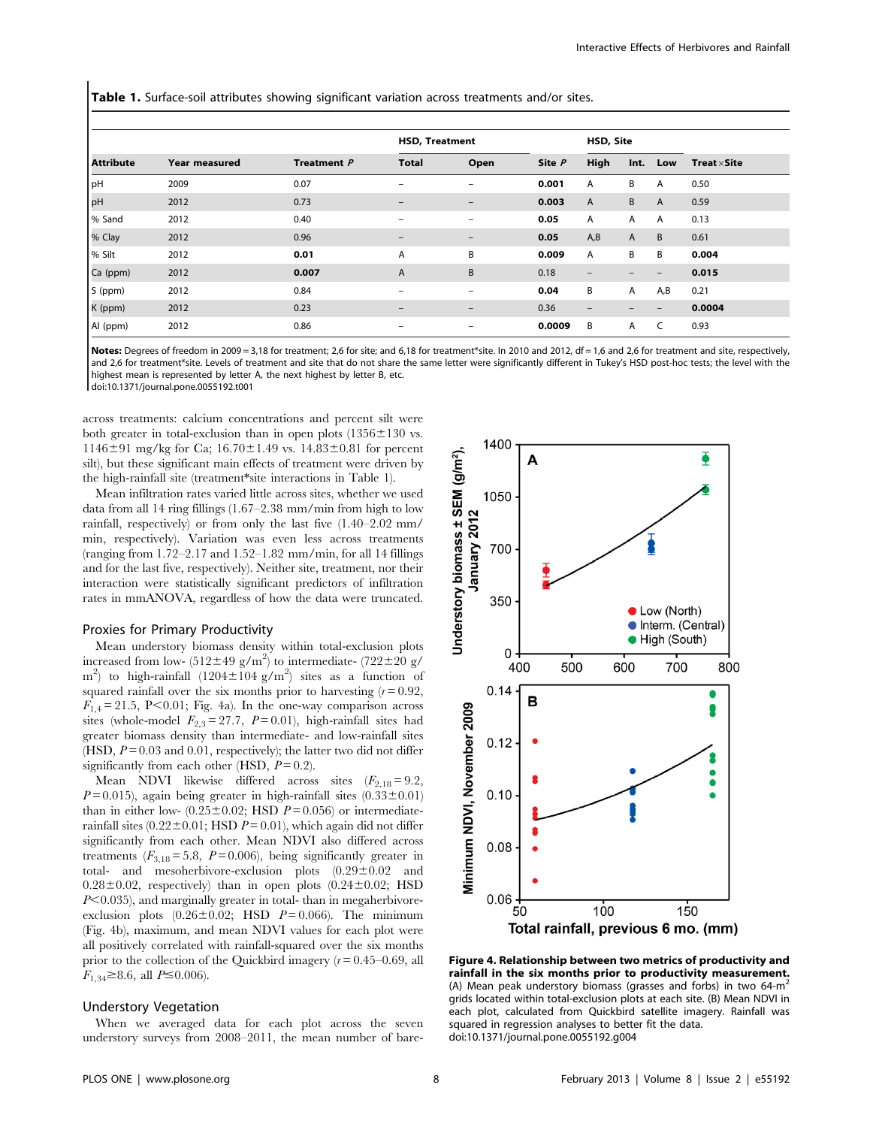Table 1. Surface-soil attributes showing significant variation across treatments and/or sites.

|                  |                      |             | <b>HSD, Treatment</b>    |                              |        | HSD, Site                |      |     |                     |
|------------------|----------------------|-------------|--------------------------|------------------------------|--------|--------------------------|------|-----|---------------------|
| <b>Attribute</b> | <b>Year measured</b> | Treatment P | <b>Total</b>             | Open                         | Site P | High                     | Int. | Low | Treat $\times$ Site |
| <b>pH</b>        | 2009                 | 0.07        | $\qquad \qquad$          | $\overline{\phantom{0}}$     | 0.001  | A                        | B    | A   | 0.50                |
| <b>pH</b>        | 2012                 | 0.73        | $\overline{\phantom{0}}$ | $\overline{\phantom{0}}$     | 0.003  | $\overline{A}$           | B    | A   | 0.59                |
| % Sand           | 2012                 | 0.40        | $\qquad \qquad$          | $\overline{\phantom{0}}$     | 0.05   | Α                        | A    | A   | 0.13                |
| % Clay           | 2012                 | 0.96        | $\overline{\phantom{0}}$ | $\qquad \qquad \blacksquare$ | 0.05   | A,B                      | A    | B   | 0.61                |
| % Silt           | 2012                 | 0.01        | Α                        | B                            | 0.009  | Α                        | В    | B   | 0.004               |
| Ca (ppm)         | 2012                 | 0.007       | A                        | B                            | 0.18   | $\overline{\phantom{a}}$ | —    | -   | 0.015               |
| S (ppm)          | 2012                 | 0.84        | $\overline{\phantom{a}}$ | $\qquad \qquad$              | 0.04   | B                        | Α    | A,B | 0.21                |
| K (ppm)          | 2012                 | 0.23        | $\overline{\phantom{0}}$ | $\overline{\phantom{0}}$     | 0.36   | $\qquad \qquad -$        |      | -   | 0.0004              |
| Al (ppm)         | 2012                 | 0.86        | $\overline{\phantom{a}}$ | $\overline{\phantom{0}}$     | 0.0009 | B                        | Α    | C   | 0.93                |

Notes: Degrees of freedom in 2009 = 3,18 for treatment; 2,6 for site; and 6,18 for treatment\*site. In 2010 and 2012, df = 1,6 and 2,6 for treatment and site, respectively, and 2,6 for treatment\*site. Levels of treatment and site that do not share the same letter were significantly different in Tukey's HSD post-hoc tests; the level with the highest mean is represented by letter A, the next highest by letter B, etc.

doi:10.1371/journal.pone.0055192.t001

across treatments: calcium concentrations and percent silt were both greater in total-exclusion than in open plots  $(1356 \pm 130 \text{ vs.})$ 1146 $\pm$ 91 mg/kg for Ca; 16.70 $\pm$ 1.49 vs. 14.83 $\pm$ 0.81 for percent silt), but these significant main effects of treatment were driven by the high-rainfall site (treatment\*site interactions in Table 1).

Mean infiltration rates varied little across sites, whether we used data from all 14 ring fillings (1.67–2.38 mm/min from high to low rainfall, respectively) or from only the last five (1.40–2.02 mm/ min, respectively). Variation was even less across treatments (ranging from 1.72–2.17 and 1.52–1.82 mm/min, for all 14 fillings and for the last five, respectively). Neither site, treatment, nor their interaction were statistically significant predictors of infiltration rates in mmANOVA, regardless of how the data were truncated.

#### Proxies for Primary Productivity

Mean understory biomass density within total-exclusion plots increased from low-  $(512 \pm 49 \text{ g/m}^2)$  to intermediate-  $(722 \pm 20 \text{ g/m}^2)$ m<sup>2</sup>) to high-rainfall  $(1204 \pm 104 \text{ g/m}^2)$  sites as a function of squared rainfall over the six months prior to harvesting  $(r = 0.92)$ ,  $F_{1,4}$  = 21.5, P<0.01; Fig. 4a). In the one-way comparison across sites (whole-model  $F_{2,3} = 27.7$ ,  $P = 0.01$ ), high-rainfall sites had greater biomass density than intermediate- and low-rainfall sites (HSD,  $P = 0.03$  and 0.01, respectively); the latter two did not differ significantly from each other (HSD,  $P = 0.2$ ).

Mean NDVI likewise differed across sites  $(F_{2,18}=9.2)$ ,  $P = 0.015$ ), again being greater in high-rainfall sites (0.33 $\pm$ 0.01) than in either low-  $(0.25 \pm 0.02;$  HSD  $P = 0.056$ ) or intermediaterainfall sites  $(0.22 \pm 0.01)$ ; HSD  $P = 0.01$ ), which again did not differ significantly from each other. Mean NDVI also differed across treatments  $(F_{3,18} = 5.8, P = 0.006)$ , being significantly greater in total- and mesoherbivore-exclusion plots  $(0.29 \pm 0.02$  and  $0.28\pm0.02$ , respectively) than in open plots  $(0.24\pm0.02;$  HSD  $P<0.035$ ), and marginally greater in total-than in megaherbivoreexclusion plots  $(0.26 \pm 0.02;$  HSD  $P = 0.066$ ). The minimum (Fig. 4b), maximum, and mean NDVI values for each plot were all positively correlated with rainfall-squared over the six months prior to the collection of the Quickbird imagery  $(r = 0.45 - 0.69)$ , all  $F_{1,34} \ge 8.6$ , all  $P \le 0.006$ ).

#### Understory Vegetation

When we averaged data for each plot across the seven understory surveys from 2008–2011, the mean number of bare-



Figure 4. Relationship between two metrics of productivity and rainfall in the six months prior to productivity measurement. (A) Mean peak understory biomass (grasses and forbs) in two  $64\text{-m}^2$ grids located within total-exclusion plots at each site. (B) Mean NDVI in each plot, calculated from Quickbird satellite imagery. Rainfall was squared in regression analyses to better fit the data. doi:10.1371/journal.pone.0055192.g004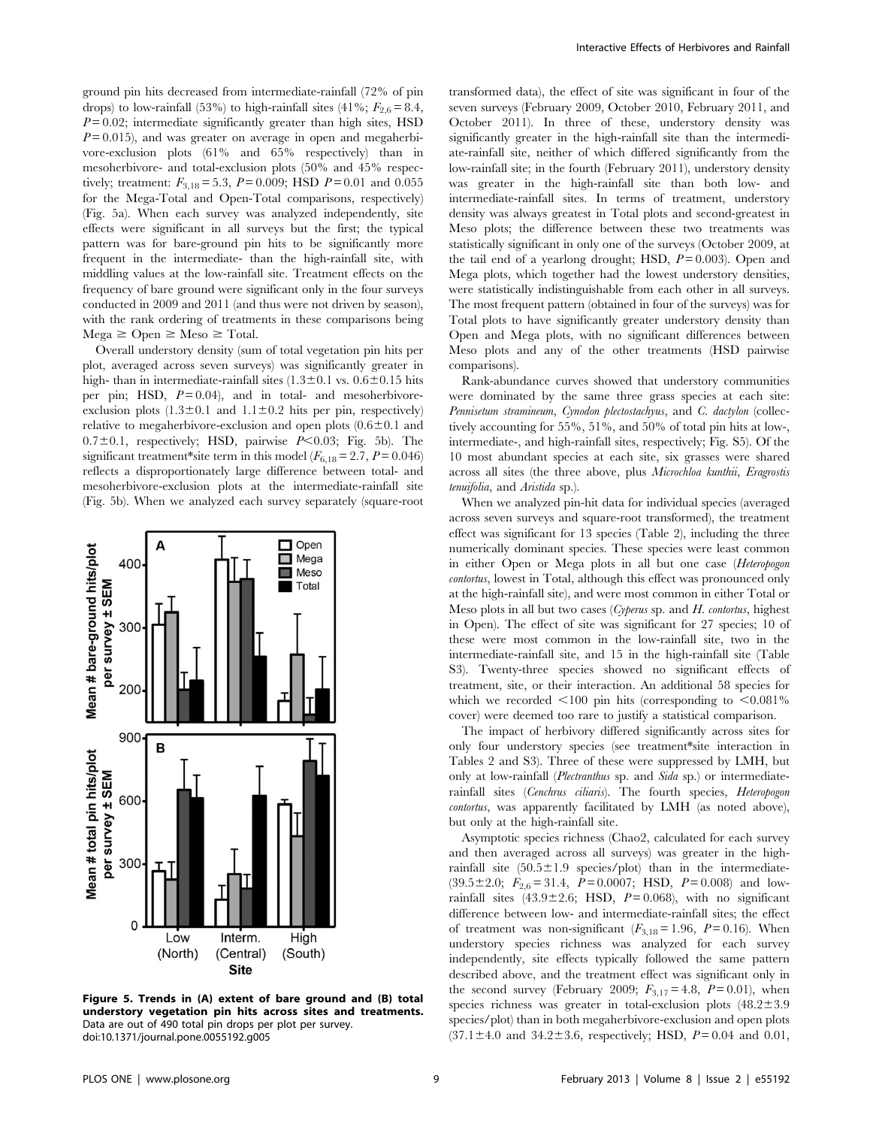ground pin hits decreased from intermediate-rainfall (72% of pin drops) to low-rainfall (53%) to high-rainfall sites (41%;  $F_{2,6} = 8.4$ ,  $P = 0.02$ ; intermediate significantly greater than high sites, HSD  $P = 0.015$ , and was greater on average in open and megaherbivore-exclusion plots (61% and 65% respectively) than in mesoherbivore- and total-exclusion plots (50% and 45% respectively; treatment:  $F_{3,18} = 5.3$ ,  $P = 0.009$ ; HSD  $P = 0.01$  and 0.055 for the Mega-Total and Open-Total comparisons, respectively) (Fig. 5a). When each survey was analyzed independently, site effects were significant in all surveys but the first; the typical pattern was for bare-ground pin hits to be significantly more frequent in the intermediate- than the high-rainfall site, with middling values at the low-rainfall site. Treatment effects on the frequency of bare ground were significant only in the four surveys conducted in 2009 and 2011 (and thus were not driven by season), with the rank ordering of treatments in these comparisons being  $Mega \geq Open \geq Meso \geq Total.$ 

Overall understory density (sum of total vegetation pin hits per plot, averaged across seven surveys) was significantly greater in high- than in intermediate-rainfall sites  $(1.3\pm0.1$  vs.  $0.6\pm0.15$  hits per pin; HSD,  $P = 0.04$ ), and in total- and mesoherbivoreexclusion plots  $(1.3\pm0.1$  and  $1.1\pm0.2$  hits per pin, respectively) relative to megaherbivore-exclusion and open plots  $(0.6 \pm 0.1$  and  $0.7 \pm 0.1$ , respectively; HSD, pairwise  $P \le 0.03$ ; Fig. 5b). The significant treatment\*site term in this model ( $F_{6,18} = 2.7$ ,  $P = 0.046$ ) reflects a disproportionately large difference between total- and mesoherbivore-exclusion plots at the intermediate-rainfall site (Fig. 5b). When we analyzed each survey separately (square-root



Figure 5. Trends in (A) extent of bare ground and (B) total understory vegetation pin hits across sites and treatments. Data are out of 490 total pin drops per plot per survey. doi:10.1371/journal.pone.0055192.g005

transformed data), the effect of site was significant in four of the seven surveys (February 2009, October 2010, February 2011, and October 2011). In three of these, understory density was significantly greater in the high-rainfall site than the intermediate-rainfall site, neither of which differed significantly from the low-rainfall site; in the fourth (February 2011), understory density was greater in the high-rainfall site than both low- and intermediate-rainfall sites. In terms of treatment, understory density was always greatest in Total plots and second-greatest in Meso plots; the difference between these two treatments was statistically significant in only one of the surveys (October 2009, at the tail end of a yearlong drought: HSD,  $P = 0.003$ ). Open and Mega plots, which together had the lowest understory densities, were statistically indistinguishable from each other in all surveys. The most frequent pattern (obtained in four of the surveys) was for Total plots to have significantly greater understory density than Open and Mega plots, with no significant differences between Meso plots and any of the other treatments (HSD pairwise comparisons).

Rank-abundance curves showed that understory communities were dominated by the same three grass species at each site: Pennisetum stramineum, Cynodon plectostachyus, and C. dactylon (collectively accounting for 55%, 51%, and 50% of total pin hits at low-, intermediate-, and high-rainfall sites, respectively; Fig. S5). Of the 10 most abundant species at each site, six grasses were shared across all sites (the three above, plus Microchloa kunthii, Eragrostis tenuifolia, and Aristida sp.).

When we analyzed pin-hit data for individual species (averaged across seven surveys and square-root transformed), the treatment effect was significant for 13 species (Table 2), including the three numerically dominant species. These species were least common in either Open or Mega plots in all but one case (Heteropogon contortus, lowest in Total, although this effect was pronounced only at the high-rainfall site), and were most common in either Total or Meso plots in all but two cases (Cyperus sp. and  $H$ . contortus, highest in Open). The effect of site was significant for 27 species; 10 of these were most common in the low-rainfall site, two in the intermediate-rainfall site, and 15 in the high-rainfall site (Table S3). Twenty-three species showed no significant effects of treatment, site, or their interaction. An additional 58 species for which we recorded  $<$ 100 pin hits (corresponding to  $<$ 0.081%) cover) were deemed too rare to justify a statistical comparison.

The impact of herbivory differed significantly across sites for only four understory species (see treatment\*site interaction in Tables 2 and S3). Three of these were suppressed by LMH, but only at low-rainfall (Plectranthus sp. and Sida sp.) or intermediaterainfall sites (Cenchrus ciliaris). The fourth species, Heteropogon contortus, was apparently facilitated by LMH (as noted above), but only at the high-rainfall site.

Asymptotic species richness (Chao2, calculated for each survey and then averaged across all surveys) was greater in the highrainfall site  $(50.5 \pm 1.9$  species/plot) than in the intermediate- $(39.5\pm2.0; F_{2.6}= 31.4, P= 0.0007; HSD, P= 0.008)$  and lowrainfall sites (43.9 $\pm$ 2.6; HSD, P = 0.068), with no significant difference between low- and intermediate-rainfall sites; the effect of treatment was non-significant  $(F_{3,18}=1.96, P=0.16)$ . When understory species richness was analyzed for each survey independently, site effects typically followed the same pattern described above, and the treatment effect was significant only in the second survey (February 2009;  $F_{3,17} = 4.8$ ,  $P = 0.01$ ), when species richness was greater in total-exclusion plots  $(48.2 \pm 3.9)$ species/plot) than in both megaherbivore-exclusion and open plots  $(37.1 \pm 4.0 \text{ and } 34.2 \pm 3.6, \text{ respectively}; \text{HSD}, P = 0.04 \text{ and } 0.01,$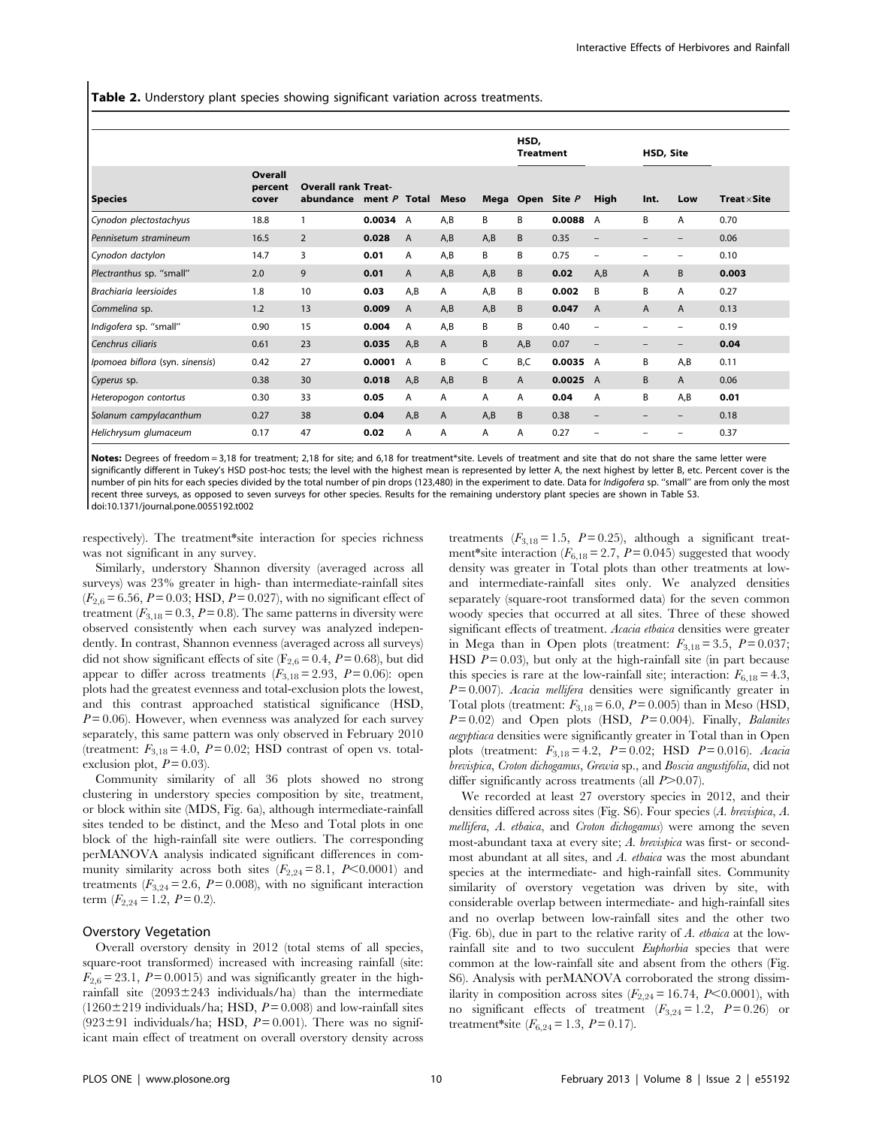Table 2. Understory plant species showing significant variation across treatments.

|                                 |                             |                                         |                |                |      |     | HSD,<br><b>Treatment</b> |                  |                          | HSD, Site                |                          |                     |
|---------------------------------|-----------------------------|-----------------------------------------|----------------|----------------|------|-----|--------------------------|------------------|--------------------------|--------------------------|--------------------------|---------------------|
| <b>Species</b>                  | Overall<br>percent<br>cover | <b>Overall rank Treat-</b><br>abundance | ment $P$ Total |                | Meso |     |                          | Mega Open Site P | High                     | Int.                     | Low                      | $Treat \times Site$ |
| Cynodon plectostachyus          | 18.8                        |                                         | 0.0034 A       |                | A,B  | B   | B                        | 0.0088           | A                        | B                        | A                        | 0.70                |
| Pennisetum stramineum           | 16.5                        | $\overline{2}$                          | 0.028          | $\overline{A}$ | A,B  | A,B | B                        | 0.35             | $\qquad \qquad -$        | $\overline{\phantom{0}}$ | $\overline{\phantom{0}}$ | 0.06                |
| Cynodon dactylon                | 14.7                        | 3                                       | 0.01           | A              | A,B  | B   | B                        | 0.75             | $\overline{\phantom{0}}$ | $\overline{\phantom{0}}$ | $\overline{\phantom{0}}$ | 0.10                |
| Plectranthus sp. "small"        | 2.0                         | 9                                       | 0.01           | A              | A,B  | A,B | B                        | 0.02             | A,B                      | $\mathsf{A}$             | B                        | 0.003               |
| Brachiaria leersioides          | 1.8                         | 10                                      | 0.03           | A,B            | A    | A,B | B                        | 0.002            | B                        | B                        | A                        | 0.27                |
| Commelina sp.                   | 1.2                         | 13                                      | 0.009          | A              | A,B  | A,B | B                        | 0.047            | A                        | $\mathsf{A}$             | A                        | 0.13                |
| Indigofera sp. "small"          | 0.90                        | 15                                      | 0.004          | A              | A,B  | B   | B                        | 0.40             | $\overline{\phantom{0}}$ | $\overline{\phantom{0}}$ | -                        | 0.19                |
| Cenchrus ciliaris               | 0.61                        | 23                                      | 0.035          | A,B            | A    | B   | A,B                      | 0.07             | $\qquad \qquad -$        | $\overline{\phantom{0}}$ | $\qquad \qquad -$        | 0.04                |
| Ipomoea biflora (syn. sinensis) | 0.42                        | 27                                      | 0.0001         | A              | B    | C   | B,C                      | 0.0035 A         |                          | B                        | A,B                      | 0.11                |
| Cyperus sp.                     | 0.38                        | 30                                      | 0.018          | A,B            | A,B  | B   | $\mathsf{A}$             | 0.0025 A         |                          | B                        | A                        | 0.06                |
| Heteropogon contortus           | 0.30                        | 33                                      | 0.05           | A              | A    | A   | A                        | 0.04             | A                        | B                        | A,B                      | 0.01                |
| Solanum campylacanthum          | 0.27                        | 38                                      | 0.04           | A,B            | A    | A,B | <sub>B</sub>             | 0.38             | $\qquad \qquad -$        |                          | -                        | 0.18                |
| Helichrysum glumaceum           | 0.17                        | 47                                      | 0.02           | A              | A    | A   | A                        | 0.27             | $\overline{\phantom{0}}$ |                          | -                        | 0.37                |

Notes: Degrees of freedom = 3,18 for treatment; 2,18 for site; and 6,18 for treatment\*site. Levels of treatment and site that do not share the same letter were significantly different in Tukey's HSD post-hoc tests; the level with the highest mean is represented by letter A, the next highest by letter B, etc. Percent cover is the number of pin hits for each species divided by the total number of pin drops (123,480) in the experiment to date. Data for Indigofera sp. "small" are from only the most recent three surveys, as opposed to seven surveys for other species. Results for the remaining understory plant species are shown in Table S3. doi:10.1371/journal.pone.0055192.t002

respectively). The treatment\*site interaction for species richness was not significant in any survey.

Similarly, understory Shannon diversity (averaged across all surveys) was 23% greater in high- than intermediate-rainfall sites  $(F_{2,6} = 6.56, P = 0.03; HSD, P = 0.027)$ , with no significant effect of treatment ( $F_{3,18} = 0.3$ ,  $P = 0.8$ ). The same patterns in diversity were observed consistently when each survey was analyzed independently. In contrast, Shannon evenness (averaged across all surveys) did not show significant effects of site ( $F_{2,6} = 0.4$ ,  $P = 0.68$ ), but did appear to differ across treatments  $(F_{3,18}=2.93, P=0.06)$ : open plots had the greatest evenness and total-exclusion plots the lowest, and this contrast approached statistical significance (HSD,  $P = 0.06$ ). However, when evenness was analyzed for each survey separately, this same pattern was only observed in February 2010 (treatment:  $F_{3,18} = 4.0$ ,  $P = 0.02$ ; HSD contrast of open vs. totalexclusion plot,  $P = 0.03$ ).

Community similarity of all 36 plots showed no strong clustering in understory species composition by site, treatment, or block within site (MDS, Fig. 6a), although intermediate-rainfall sites tended to be distinct, and the Meso and Total plots in one block of the high-rainfall site were outliers. The corresponding perMANOVA analysis indicated significant differences in community similarity across both sites  $(F_{2,24}=8.1, P<0.0001)$  and treatments  $(F_{3,24} = 2.6, P = 0.008)$ , with no significant interaction term  $(F_{2,24} = 1.2, P = 0.2).$ 

# Overstory Vegetation

Overall overstory density in 2012 (total stems of all species, square-root transformed) increased with increasing rainfall (site:  $F_{2,6} = 23.1$ ,  $P = 0.0015$ ) and was significantly greater in the highrainfall site  $(2093 \pm 243$  individuals/ha) than the intermediate  $(1260 \pm 219 \text{ individuals/ha}; \text{HSD}, P = 0.008)$  and low-rainfall sites  $(923±91$  individuals/ha; HSD,  $P=0.001$ ). There was no significant main effect of treatment on overall overstory density across treatments  $(F_{3,18} = 1.5, P = 0.25)$ , although a significant treatment\*site interaction  $(F_{6,18}= 2.7, P = 0.045)$  suggested that woody density was greater in Total plots than other treatments at lowand intermediate-rainfall sites only. We analyzed densities separately (square-root transformed data) for the seven common woody species that occurred at all sites. Three of these showed significant effects of treatment. Acacia etbaica densities were greater in Mega than in Open plots (treatment:  $F_{3,18} = 3.5$ ,  $P = 0.037$ ; HSD  $P = 0.03$ ), but only at the high-rainfall site (in part because this species is rare at the low-rainfall site; interaction:  $F_{6,18} = 4.3$ ,  $P = 0.007$ ). Acacia mellifera densities were significantly greater in Total plots (treatment:  $F_{3,18} = 6.0$ ,  $P = 0.005$ ) than in Meso (HSD,  $P=0.02$ ) and Open plots (HSD,  $P=0.004$ ). Finally, *Balanites* aegyptiaca densities were significantly greater in Total than in Open plots (treatment:  $F_{3,18} = 4.2$ ,  $P = 0.02$ ; HSD  $P = 0.016$ ). Acacia brevispica, Croton dichogamus, Grewia sp., and Boscia angustifolia, did not differ significantly across treatments (all  $P > 0.07$ ).

We recorded at least 27 overstory species in 2012, and their densities differed across sites (Fig. S6). Four species (A. brevispica, A. mellifera, A. etbaica, and Croton dichogamus) were among the seven most-abundant taxa at every site; A. brevispica was first- or secondmost abundant at all sites, and A. etbaica was the most abundant species at the intermediate- and high-rainfall sites. Community similarity of overstory vegetation was driven by site, with considerable overlap between intermediate- and high-rainfall sites and no overlap between low-rainfall sites and the other two (Fig. 6b), due in part to the relative rarity of A. etbaica at the lowrainfall site and to two succulent Euphorbia species that were common at the low-rainfall site and absent from the others (Fig. S6). Analysis with perMANOVA corroborated the strong dissimilarity in composition across sites  $(F_{2,24} = 16.74, P<0.0001)$ , with no significant effects of treatment  $(F_{3,24}=1.2, P=0.26)$  or treatment\*site  $(F_{6,24} = 1.3, P = 0.17)$ .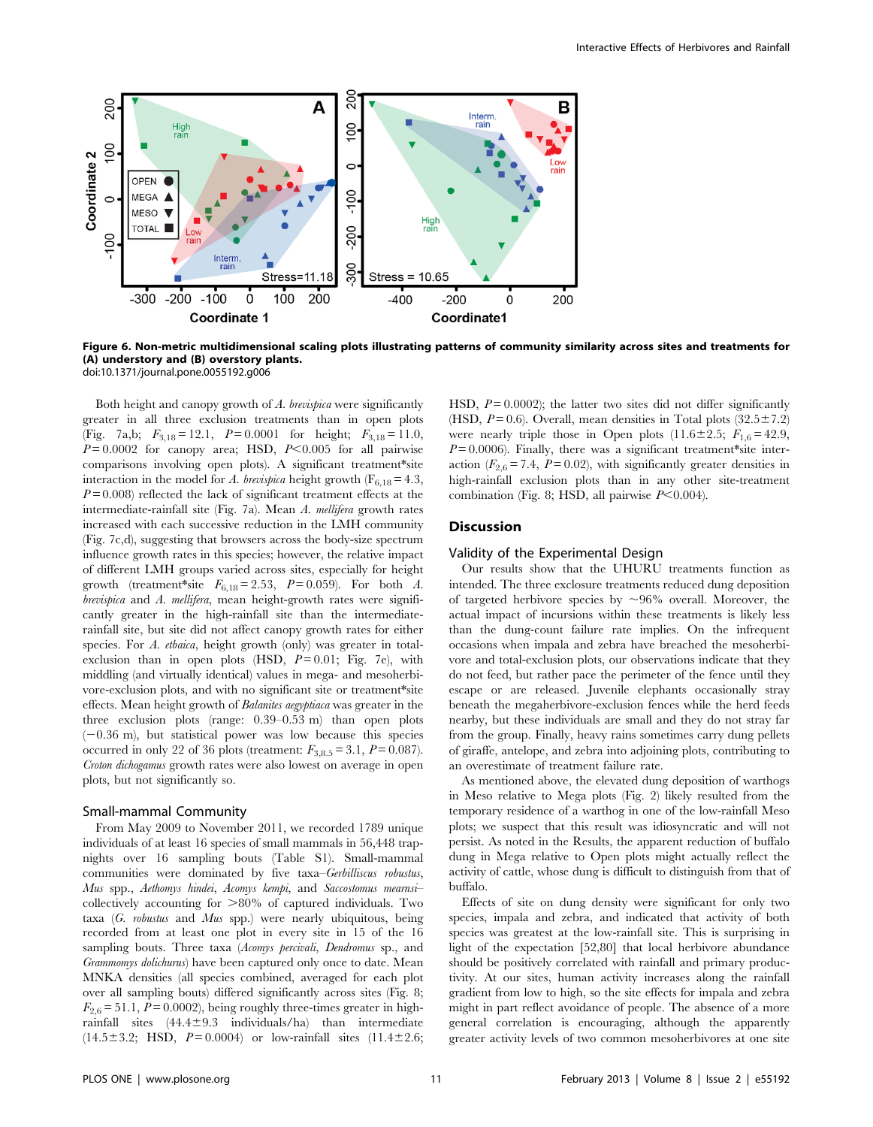

Figure 6. Non-metric multidimensional scaling plots illustrating patterns of community similarity across sites and treatments for (A) understory and (B) overstory plants.

doi:10.1371/journal.pone.0055192.g006

Both height and canopy growth of A. brevispica were significantly greater in all three exclusion treatments than in open plots (Fig. 7a,b;  $F_{3,18} = 12.1$ ,  $P = 0.0001$  for height;  $F_{3,18} = 11.0$ ,  $P = 0.0002$  for canopy area; HSD,  $P < 0.005$  for all pairwise comparisons involving open plots). A significant treatment\*site interaction in the model for A. brevispica height growth ( $F_{6,18} = 4.3$ ,  $P=0.008$ ) reflected the lack of significant treatment effects at the intermediate-rainfall site (Fig. 7a). Mean A. mellifera growth rates increased with each successive reduction in the LMH community (Fig. 7c,d), suggesting that browsers across the body-size spectrum influence growth rates in this species; however, the relative impact of different LMH groups varied across sites, especially for height growth (treatment\*site  $F_{6,18} = 2.53$ ,  $P = 0.059$ ). For both A. brevispica and A. mellifera, mean height-growth rates were significantly greater in the high-rainfall site than the intermediaterainfall site, but site did not affect canopy growth rates for either species. For A. ethaica, height growth (only) was greater in totalexclusion than in open plots (HSD,  $P = 0.01$ ; Fig. 7e), with middling (and virtually identical) values in mega- and mesoherbivore-exclusion plots, and with no significant site or treatment\*site effects. Mean height growth of Balanites aegyptiaca was greater in the three exclusion plots (range: 0.39–0.53 m) than open plots  $(-0.36 \text{ m})$ , but statistical power was low because this species occurred in only 22 of 36 plots (treatment:  $F_{3,8.5} = 3.1, P = 0.087$ ). Croton dichogamus growth rates were also lowest on average in open plots, but not significantly so.

#### Small-mammal Community

From May 2009 to November 2011, we recorded 1789 unique individuals of at least 16 species of small mammals in 56,448 trapnights over 16 sampling bouts (Table S1). Small-mammal communities were dominated by five taxa–Gerbilliscus robustus, Mus spp., Aethomys hindei, Acomys kempi, and Saccostomus mearnsi– collectively accounting for  $>80\%$  of captured individuals. Two taxa  $(G.$  robustus and Mus spp.) were nearly ubiquitous, being recorded from at least one plot in every site in 15 of the 16 sampling bouts. Three taxa (Acomys percivali, Dendromus sp., and Grammomys dolichurus) have been captured only once to date. Mean MNKA densities (all species combined, averaged for each plot over all sampling bouts) differed significantly across sites (Fig. 8;  $F_{2,6}$  = 51.1,  $P = 0.0002$ ), being roughly three-times greater in highrainfall sites  $(44.4 \pm 9.3$  individuals/ha) than intermediate  $(14.5 \pm 3.2;$  HSD,  $P = 0.0004$  or low-rainfall sites  $(11.4 \pm 2.6;$ 

HSD,  $P = 0.0002$ ); the latter two sites did not differ significantly (HSD,  $P = 0.6$ ). Overall, mean densities in Total plots  $(32.5 \pm 7.2)$ were nearly triple those in Open plots  $(11.6 \pm 2.5; F_{1,6} = 42.9,$  $P=0.0006$ ). Finally, there was a significant treatment\*site interaction ( $F_{2,6} = 7.4$ ,  $P = 0.02$ ), with significantly greater densities in high-rainfall exclusion plots than in any other site-treatment combination (Fig. 8; HSD, all pairwise  $P<0.004$ ).

# Discussion

# Validity of the Experimental Design

Our results show that the UHURU treatments function as intended. The three exclosure treatments reduced dung deposition of targeted herbivore species by  $\sim 96\%$  overall. Moreover, the actual impact of incursions within these treatments is likely less than the dung-count failure rate implies. On the infrequent occasions when impala and zebra have breached the mesoherbivore and total-exclusion plots, our observations indicate that they do not feed, but rather pace the perimeter of the fence until they escape or are released. Juvenile elephants occasionally stray beneath the megaherbivore-exclusion fences while the herd feeds nearby, but these individuals are small and they do not stray far from the group. Finally, heavy rains sometimes carry dung pellets of giraffe, antelope, and zebra into adjoining plots, contributing to an overestimate of treatment failure rate.

As mentioned above, the elevated dung deposition of warthogs in Meso relative to Mega plots (Fig. 2) likely resulted from the temporary residence of a warthog in one of the low-rainfall Meso plots; we suspect that this result was idiosyncratic and will not persist. As noted in the Results, the apparent reduction of buffalo dung in Mega relative to Open plots might actually reflect the activity of cattle, whose dung is difficult to distinguish from that of buffalo.

Effects of site on dung density were significant for only two species, impala and zebra, and indicated that activity of both species was greatest at the low-rainfall site. This is surprising in light of the expectation [52,80] that local herbivore abundance should be positively correlated with rainfall and primary productivity. At our sites, human activity increases along the rainfall gradient from low to high, so the site effects for impala and zebra might in part reflect avoidance of people. The absence of a more general correlation is encouraging, although the apparently greater activity levels of two common mesoherbivores at one site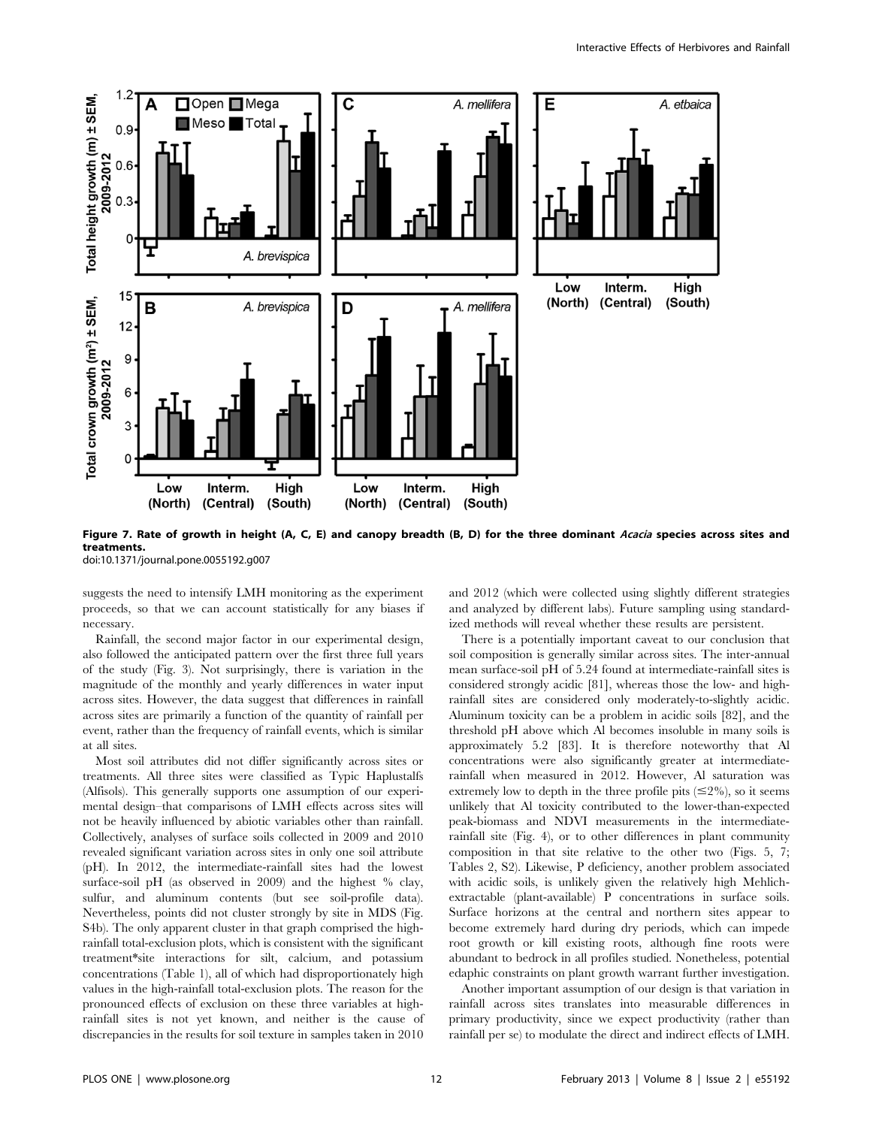

Figure 7. Rate of growth in height (A, C, E) and canopy breadth (B, D) for the three dominant Acacia species across sites and treatments.

doi:10.1371/journal.pone.0055192.g007

suggests the need to intensify LMH monitoring as the experiment proceeds, so that we can account statistically for any biases if necessary.

Rainfall, the second major factor in our experimental design, also followed the anticipated pattern over the first three full years of the study (Fig. 3). Not surprisingly, there is variation in the magnitude of the monthly and yearly differences in water input across sites. However, the data suggest that differences in rainfall across sites are primarily a function of the quantity of rainfall per event, rather than the frequency of rainfall events, which is similar at all sites.

Most soil attributes did not differ significantly across sites or treatments. All three sites were classified as Typic Haplustalfs (Alfisols). This generally supports one assumption of our experimental design–that comparisons of LMH effects across sites will not be heavily influenced by abiotic variables other than rainfall. Collectively, analyses of surface soils collected in 2009 and 2010 revealed significant variation across sites in only one soil attribute (pH). In 2012, the intermediate-rainfall sites had the lowest surface-soil pH (as observed in 2009) and the highest % clay, sulfur, and aluminum contents (but see soil-profile data). Nevertheless, points did not cluster strongly by site in MDS (Fig. S4b). The only apparent cluster in that graph comprised the highrainfall total-exclusion plots, which is consistent with the significant treatment\*site interactions for silt, calcium, and potassium concentrations (Table 1), all of which had disproportionately high values in the high-rainfall total-exclusion plots. The reason for the pronounced effects of exclusion on these three variables at highrainfall sites is not yet known, and neither is the cause of discrepancies in the results for soil texture in samples taken in 2010 and 2012 (which were collected using slightly different strategies and analyzed by different labs). Future sampling using standardized methods will reveal whether these results are persistent.

There is a potentially important caveat to our conclusion that soil composition is generally similar across sites. The inter-annual mean surface-soil pH of 5.24 found at intermediate-rainfall sites is considered strongly acidic [81], whereas those the low- and highrainfall sites are considered only moderately-to-slightly acidic. Aluminum toxicity can be a problem in acidic soils [82], and the threshold pH above which Al becomes insoluble in many soils is approximately 5.2 [83]. It is therefore noteworthy that Al concentrations were also significantly greater at intermediaterainfall when measured in 2012. However, Al saturation was extremely low to depth in the three profile pits  $(\leq 2\%)$ , so it seems unlikely that Al toxicity contributed to the lower-than-expected peak-biomass and NDVI measurements in the intermediaterainfall site (Fig. 4), or to other differences in plant community composition in that site relative to the other two (Figs. 5, 7; Tables 2, S2). Likewise, P deficiency, another problem associated with acidic soils, is unlikely given the relatively high Mehlichextractable (plant-available) P concentrations in surface soils. Surface horizons at the central and northern sites appear to become extremely hard during dry periods, which can impede root growth or kill existing roots, although fine roots were abundant to bedrock in all profiles studied. Nonetheless, potential edaphic constraints on plant growth warrant further investigation.

Another important assumption of our design is that variation in rainfall across sites translates into measurable differences in primary productivity, since we expect productivity (rather than rainfall per se) to modulate the direct and indirect effects of LMH.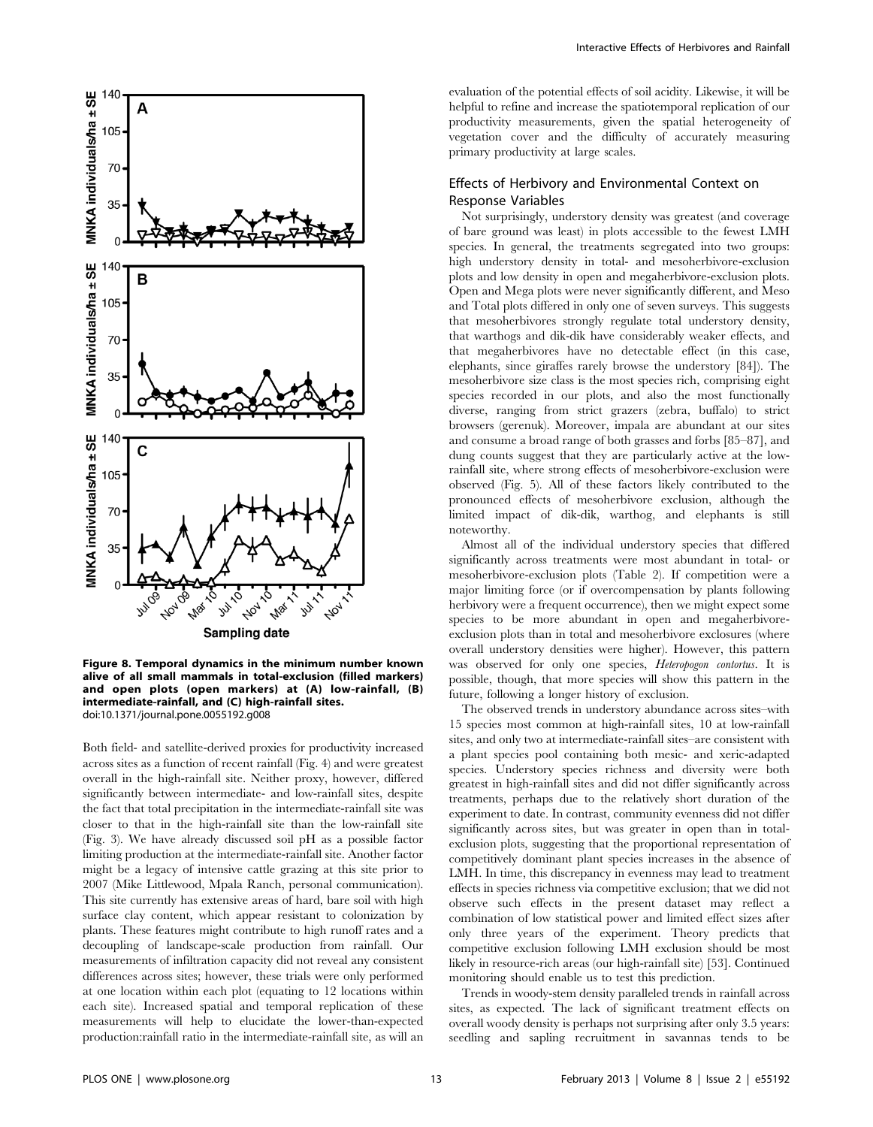

Figure 8. Temporal dynamics in the minimum number known alive of all small mammals in total-exclusion (filled markers) and open plots (open markers) at (A) low-rainfall, (B) intermediate-rainfall, and (C) high-rainfall sites. doi:10.1371/journal.pone.0055192.g008

Both field- and satellite-derived proxies for productivity increased across sites as a function of recent rainfall (Fig. 4) and were greatest overall in the high-rainfall site. Neither proxy, however, differed significantly between intermediate- and low-rainfall sites, despite the fact that total precipitation in the intermediate-rainfall site was closer to that in the high-rainfall site than the low-rainfall site (Fig. 3). We have already discussed soil pH as a possible factor limiting production at the intermediate-rainfall site. Another factor might be a legacy of intensive cattle grazing at this site prior to 2007 (Mike Littlewood, Mpala Ranch, personal communication). This site currently has extensive areas of hard, bare soil with high surface clay content, which appear resistant to colonization by plants. These features might contribute to high runoff rates and a decoupling of landscape-scale production from rainfall. Our measurements of infiltration capacity did not reveal any consistent differences across sites; however, these trials were only performed at one location within each plot (equating to 12 locations within each site). Increased spatial and temporal replication of these measurements will help to elucidate the lower-than-expected production:rainfall ratio in the intermediate-rainfall site, as will an evaluation of the potential effects of soil acidity. Likewise, it will be helpful to refine and increase the spatiotemporal replication of our productivity measurements, given the spatial heterogeneity of vegetation cover and the difficulty of accurately measuring primary productivity at large scales.

# Effects of Herbivory and Environmental Context on Response Variables

Not surprisingly, understory density was greatest (and coverage of bare ground was least) in plots accessible to the fewest LMH species. In general, the treatments segregated into two groups: high understory density in total- and mesoherbivore-exclusion plots and low density in open and megaherbivore-exclusion plots. Open and Mega plots were never significantly different, and Meso and Total plots differed in only one of seven surveys. This suggests that mesoherbivores strongly regulate total understory density, that warthogs and dik-dik have considerably weaker effects, and that megaherbivores have no detectable effect (in this case, elephants, since giraffes rarely browse the understory [84]). The mesoherbivore size class is the most species rich, comprising eight species recorded in our plots, and also the most functionally diverse, ranging from strict grazers (zebra, buffalo) to strict browsers (gerenuk). Moreover, impala are abundant at our sites and consume a broad range of both grasses and forbs [85–87], and dung counts suggest that they are particularly active at the lowrainfall site, where strong effects of mesoherbivore-exclusion were observed (Fig. 5). All of these factors likely contributed to the pronounced effects of mesoherbivore exclusion, although the limited impact of dik-dik, warthog, and elephants is still noteworthy.

Almost all of the individual understory species that differed significantly across treatments were most abundant in total- or mesoherbivore-exclusion plots (Table 2). If competition were a major limiting force (or if overcompensation by plants following herbivory were a frequent occurrence), then we might expect some species to be more abundant in open and megaherbivoreexclusion plots than in total and mesoherbivore exclosures (where overall understory densities were higher). However, this pattern was observed for only one species, Heteropogon contortus. It is possible, though, that more species will show this pattern in the future, following a longer history of exclusion.

The observed trends in understory abundance across sites–with 15 species most common at high-rainfall sites, 10 at low-rainfall sites, and only two at intermediate-rainfall sites–are consistent with a plant species pool containing both mesic- and xeric-adapted species. Understory species richness and diversity were both greatest in high-rainfall sites and did not differ significantly across treatments, perhaps due to the relatively short duration of the experiment to date. In contrast, community evenness did not differ significantly across sites, but was greater in open than in totalexclusion plots, suggesting that the proportional representation of competitively dominant plant species increases in the absence of LMH. In time, this discrepancy in evenness may lead to treatment effects in species richness via competitive exclusion; that we did not observe such effects in the present dataset may reflect a combination of low statistical power and limited effect sizes after only three years of the experiment. Theory predicts that competitive exclusion following LMH exclusion should be most likely in resource-rich areas (our high-rainfall site) [53]. Continued monitoring should enable us to test this prediction.

Trends in woody-stem density paralleled trends in rainfall across sites, as expected. The lack of significant treatment effects on overall woody density is perhaps not surprising after only 3.5 years: seedling and sapling recruitment in savannas tends to be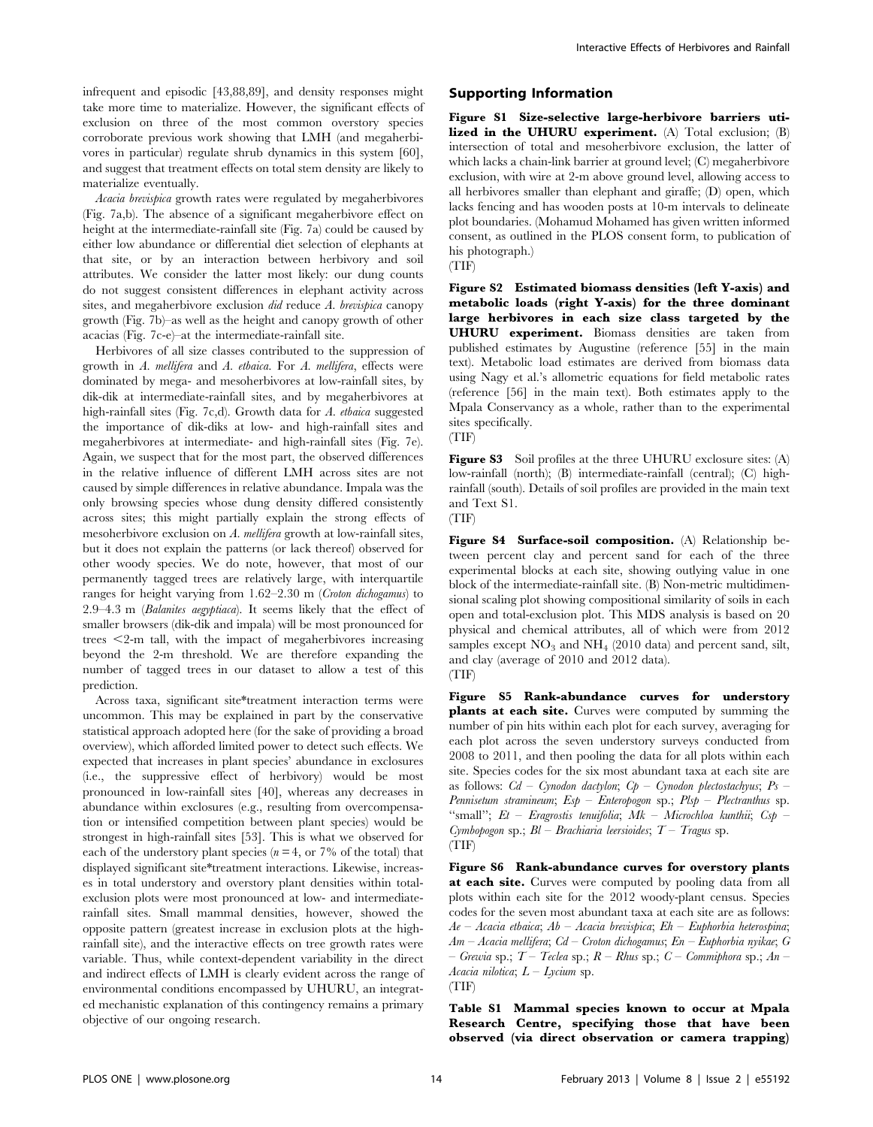infrequent and episodic [43,88,89], and density responses might take more time to materialize. However, the significant effects of exclusion on three of the most common overstory species corroborate previous work showing that LMH (and megaherbivores in particular) regulate shrub dynamics in this system [60], and suggest that treatment effects on total stem density are likely to materialize eventually.

Acacia brevispica growth rates were regulated by megaherbivores (Fig. 7a,b). The absence of a significant megaherbivore effect on height at the intermediate-rainfall site (Fig. 7a) could be caused by either low abundance or differential diet selection of elephants at that site, or by an interaction between herbivory and soil attributes. We consider the latter most likely: our dung counts do not suggest consistent differences in elephant activity across sites, and megaherbivore exclusion did reduce A. brevispica canopy growth (Fig. 7b)–as well as the height and canopy growth of other acacias (Fig. 7c-e)–at the intermediate-rainfall site.

Herbivores of all size classes contributed to the suppression of growth in A. mellifera and A. etbaica. For A. mellifera, effects were dominated by mega- and mesoherbivores at low-rainfall sites, by dik-dik at intermediate-rainfall sites, and by megaherbivores at high-rainfall sites (Fig. 7c,d). Growth data for A. etbaica suggested the importance of dik-diks at low- and high-rainfall sites and megaherbivores at intermediate- and high-rainfall sites (Fig. 7e). Again, we suspect that for the most part, the observed differences in the relative influence of different LMH across sites are not caused by simple differences in relative abundance. Impala was the only browsing species whose dung density differed consistently across sites; this might partially explain the strong effects of mesoherbivore exclusion on A. mellifera growth at low-rainfall sites, but it does not explain the patterns (or lack thereof) observed for other woody species. We do note, however, that most of our permanently tagged trees are relatively large, with interquartile ranges for height varying from 1.62–2.30 m (Croton dichogamus) to 2.9–4.3 m (Balanites aegyptiaca). It seems likely that the effect of smaller browsers (dik-dik and impala) will be most pronounced for trees  $\leq$ 2-m tall, with the impact of megaherbivores increasing beyond the 2-m threshold. We are therefore expanding the number of tagged trees in our dataset to allow a test of this prediction.

Across taxa, significant site\*treatment interaction terms were uncommon. This may be explained in part by the conservative statistical approach adopted here (for the sake of providing a broad overview), which afforded limited power to detect such effects. We expected that increases in plant species' abundance in exclosures (i.e., the suppressive effect of herbivory) would be most pronounced in low-rainfall sites [40], whereas any decreases in abundance within exclosures (e.g., resulting from overcompensation or intensified competition between plant species) would be strongest in high-rainfall sites [53]. This is what we observed for each of the understory plant species ( $n = 4$ , or 7% of the total) that displayed significant site\*treatment interactions. Likewise, increases in total understory and overstory plant densities within totalexclusion plots were most pronounced at low- and intermediaterainfall sites. Small mammal densities, however, showed the opposite pattern (greatest increase in exclusion plots at the highrainfall site), and the interactive effects on tree growth rates were variable. Thus, while context-dependent variability in the direct and indirect effects of LMH is clearly evident across the range of environmental conditions encompassed by UHURU, an integrated mechanistic explanation of this contingency remains a primary objective of our ongoing research.

#### Supporting Information

Figure S1 Size-selective large-herbivore barriers utilized in the UHURU experiment. (A) Total exclusion: (B) intersection of total and mesoherbivore exclusion, the latter of which lacks a chain-link barrier at ground level; (C) megaherbivore exclusion, with wire at 2-m above ground level, allowing access to all herbivores smaller than elephant and giraffe; (D) open, which lacks fencing and has wooden posts at 10-m intervals to delineate plot boundaries. (Mohamud Mohamed has given written informed consent, as outlined in the PLOS consent form, to publication of his photograph.)

(TIF)

Figure S2 Estimated biomass densities (left Y-axis) and metabolic loads (right Y-axis) for the three dominant large herbivores in each size class targeted by the UHURU experiment. Biomass densities are taken from published estimates by Augustine (reference [55] in the main text). Metabolic load estimates are derived from biomass data using Nagy et al.'s allometric equations for field metabolic rates (reference [56] in the main text). Both estimates apply to the Mpala Conservancy as a whole, rather than to the experimental sites specifically. (TIF)

Figure S3 Soil profiles at the three UHURU exclosure sites: (A) low-rainfall (north); (B) intermediate-rainfall (central); (C) highrainfall (south). Details of soil profiles are provided in the main text and Text S1.

(TIF)

Figure S4 Surface-soil composition. (A) Relationship between percent clay and percent sand for each of the three experimental blocks at each site, showing outlying value in one block of the intermediate-rainfall site. (B) Non-metric multidimensional scaling plot showing compositional similarity of soils in each open and total-exclusion plot. This MDS analysis is based on 20 physical and chemical attributes, all of which were from 2012 samples except  $NO<sub>3</sub>$  and  $NH<sub>4</sub>$  (2010 data) and percent sand, silt, and clay (average of 2010 and 2012 data). (TIF)

Figure S5 Rank-abundance curves for understory plants at each site. Curves were computed by summing the number of pin hits within each plot for each survey, averaging for each plot across the seven understory surveys conducted from 2008 to 2011, and then pooling the data for all plots within each site. Species codes for the six most abundant taxa at each site are as follows:  $Cd - Cynodon$  dactylon;  $Cp - Cynodon$  plectostachyus;  $Ps - Cp$ Pennisetum stramineum;  $Esp$  – Enteropogon sp.;  $Plsp$  – Plectranthus sp. "small";  $Et$  – Eragrostis tenuifolia;  $Mk$  – Microchloa kunthii;  $Csp$  – Cymbopogon sp.;  $Bl - Brachiaria$  leersioides;  $T - Tragus$  sp. (TIF)

Figure S6 Rank-abundance curves for overstory plants at each site. Curves were computed by pooling data from all plots within each site for the 2012 woody-plant census. Species codes for the seven most abundant taxa at each site are as follows:  $Ae - Aca$ cia etbaica;  $Ab - Aca$ cia brevispica;  $Eh - E$ uphorbia heterospina;  $Am - Acacia$  mellifera;  $Cd - Croton$  dichogamus;  $En - Euphorbia$  nyikae; G – Grewia sp.;  $T$  – Teclea sp.;  $R$  – Rhus sp.;  $C$  – Commiphora sp.;  $An$  – Acacia nilotica;  $L - Lycium$  sp. (TIF)

Table S1 Mammal species known to occur at Mpala Research Centre, specifying those that have been observed (via direct observation or camera trapping)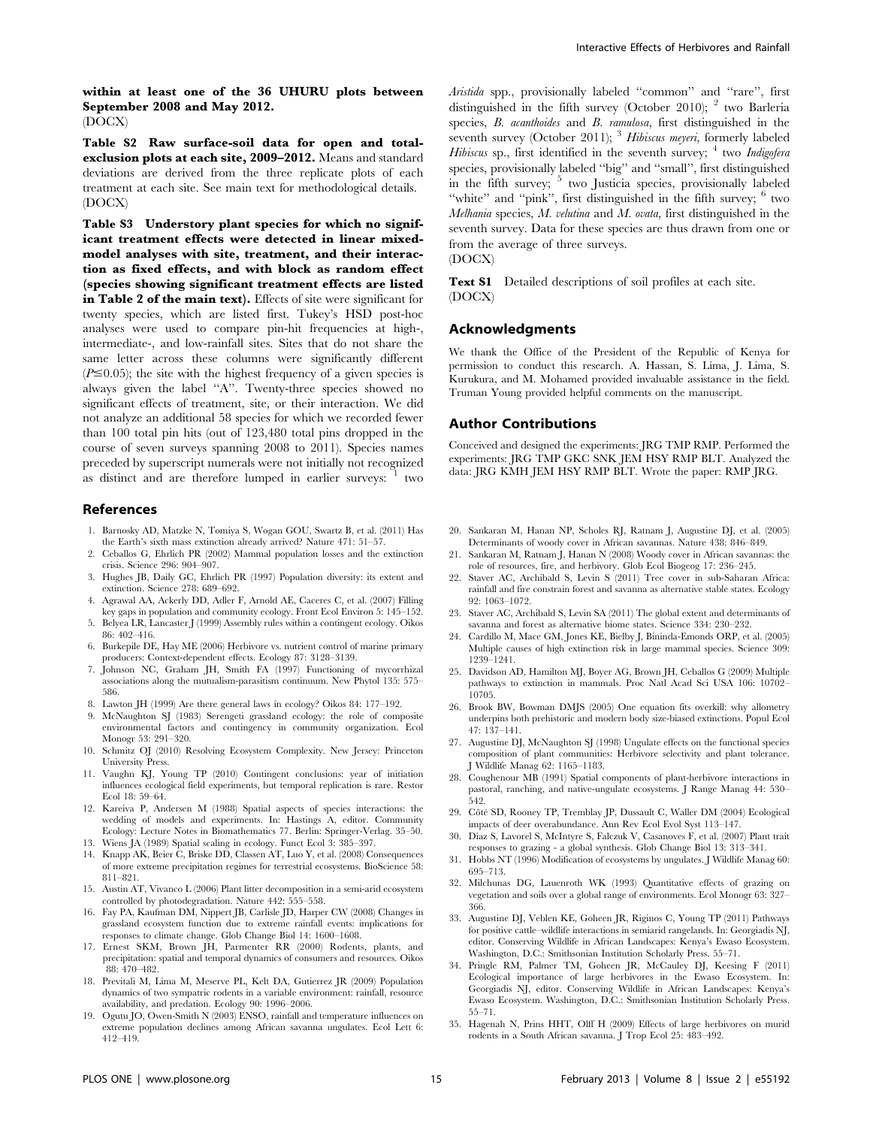within at least one of the 36 UHURU plots between September 2008 and May 2012. (DOCX)

Table S2 Raw surface-soil data for open and totalexclusion plots at each site, 2009–2012. Means and standard deviations are derived from the three replicate plots of each treatment at each site. See main text for methodological details. (DOCX)

Table S3 Understory plant species for which no significant treatment effects were detected in linear mixedmodel analyses with site, treatment, and their interaction as fixed effects, and with block as random effect (species showing significant treatment effects are listed in Table 2 of the main text). Effects of site were significant for twenty species, which are listed first. Tukey's HSD post-hoc analyses were used to compare pin-hit frequencies at high-, intermediate-, and low-rainfall sites. Sites that do not share the same letter across these columns were significantly different  $(P \le 0.05)$ ; the site with the highest frequency of a given species is always given the label ''A''. Twenty-three species showed no significant effects of treatment, site, or their interaction. We did not analyze an additional 58 species for which we recorded fewer than 100 total pin hits (out of 123,480 total pins dropped in the course of seven surveys spanning 2008 to 2011). Species names preceded by superscript numerals were not initially not recognized as distinct and are therefore lumped in earlier surveys:  $\frac{1}{1}$  two

#### References

- 1. Barnosky AD, Matzke N, Tomiya S, Wogan GOU, Swartz B, et al. (2011) Has the Earth's sixth mass extinction already arrived? Nature 471: 51–57.
- 2. Ceballos G, Ehrlich PR (2002) Mammal population losses and the extinction crisis. Science 296: 904–907.
- 3. Hughes JB, Daily GC, Ehrlich PR (1997) Population diversity: its extent and extinction. Science 278: 689–692.
- 4. Agrawal AA, Ackerly DD, Adler F, Arnold AE, Caceres C, et al. (2007) Filling
- key gaps in population and community ecology. Front Ecol Environ 5: 145–152. 5. Belyea LR, Lancaster J (1999) Assembly rules within a contingent ecology. Oikos 86: 402–416.
- 6. Burkepile DE, Hay ME (2006) Herbivore vs. nutrient control of marine primary producers: Context-dependent effects. Ecology 87: 3128–3139.
- 7. Johnson NC, Graham JH, Smith FA (1997) Functioning of mycorrhizal associations along the mutualism-parasitism continuum. New Phytol 135: 575– 586.
- 8. Lawton JH (1999) Are there general laws in ecology? Oikos 84: 177–192.
- 9. McNaughton SJ (1983) Serengeti grassland ecology: the role of composite environmental factors and contingency in community organization. Ecol Monogr 53: 291–320.
- 10. Schmitz OJ (2010) Resolving Ecosystem Complexity. New Jersey: Princeton University Press.
- 11. Vaughn KJ, Young TP (2010) Contingent conclusions: year of initiation influences ecological field experiments, but temporal replication is rare. Restor Ecol 18: 59–64.
- 12. Kareiva P, Andersen M (1988) Spatial aspects of species interactions: the wedding of models and experiments. In: Hastings A, editor. Community Ecology: Lecture Notes in Biomathematics 77. Berlin: Springer-Verlag. 35–50.
- 13. Wiens JA (1989) Spatial scaling in ecology. Funct Ecol 3: 385–397.
- 14. Knapp AK, Beier C, Briske DD, Classen AT, Luo Y, et al. (2008) Consequences of more extreme precipitation regimes for terrestrial ecosystems. BioScience 58: 811–821.
- 15. Austin AT, Vivanco L (2006) Plant litter decomposition in a semi-arid ecosystem controlled by photodegradation. Nature 442: 555–558.
- 16. Fay PA, Kaufman DM, Nippert JB, Carlisle JD, Harper CW (2008) Changes in grassland ecosystem function due to extreme rainfall events: implications for responses to climate change. Glob Change Biol 14: 1600–1608.
- 17. Ernest SKM, Brown JH, Parmenter RR (2000) Rodents, plants, and precipitation: spatial and temporal dynamics of consumers and resources. Oikos 88: 470–482.
- 18. Previtali M, Lima M, Meserve PL, Kelt DA, Gutierrez JR (2009) Population dynamics of two sympatric rodents in a variable environment: rainfall, resource availability, and predation. Ecology 90: 1996–2006.
- 19. Ogutu JO, Owen-Smith N (2003) ENSO, rainfall and temperature influences on extreme population declines among African savanna ungulates. Ecol Lett 6: 412–419.

Aristida spp., provisionally labeled ''common'' and ''rare'', first distinguished in the fifth survey (October 2010);  $^2$  two Barleria species, B. acanthoides and B. ramulosa, first distinguished in the seventh survey (October 2011); <sup>3</sup> Hibiscus meyeri, formerly labeled *Hibiscus* sp., first identified in the seventh survey;  $4 \text{ two } \text{Indigofera}$ species, provisionally labeled ''big'' and ''small'', first distinguished in the fifth survey;  $5 \text{ two Justicia species, provisionally labeled}$ "white" and "pink", first distinguished in the fifth survey;  $6 \text{ two}$ Melhania species, M. velutina and M. ovata, first distinguished in the seventh survey. Data for these species are thus drawn from one or from the average of three surveys.

(DOCX)

Text S1 Detailed descriptions of soil profiles at each site. (DOCX)

#### Acknowledgments

We thank the Office of the President of the Republic of Kenya for permission to conduct this research. A. Hassan, S. Lima, J. Lima, S. Kurukura, and M. Mohamed provided invaluable assistance in the field. Truman Young provided helpful comments on the manuscript.

#### Author Contributions

Conceived and designed the experiments: JRG TMP RMP. Performed the experiments: JRG TMP GKC SNK JEM HSY RMP BLT. Analyzed the data: JRG KMH JEM HSY RMP BLT. Wrote the paper: RMP JRG.

- 20. Sankaran M, Hanan NP, Scholes RJ, Ratnam J, Augustine DJ, et al. (2005) Determinants of woody cover in African savannas. Nature 438: 846–849.
- 21. Sankaran M, Ratnam J, Hanan N (2008) Woody cover in African savannas: the role of resources, fire, and herbivory. Glob Ecol Biogeog 17: 236–245.
- 22. Staver AC, Archibald S, Levin S (2011) Tree cover in sub-Saharan Africa: rainfall and fire constrain forest and savanna as alternative stable states. Ecology 92: 1063–1072.
- 23. Staver AC, Archibald S, Levin SA (2011) The global extent and determinants of savanna and forest as alternative biome states. Science 334: 230–232.
- 24. Cardillo M, Mace GM, Jones KE, Bielby J, Bininda-Emonds ORP, et al. (2005) Multiple causes of high extinction risk in large mammal species. Science 309: 1239–1241.
- 25. Davidson AD, Hamilton MJ, Boyer AG, Brown JH, Ceballos G (2009) Multiple pathways to extinction in mammals. Proc Natl Acad Sci USA 106: 10702– 10705.
- 26. Brook BW, Bowman DMJS (2005) One equation fits overkill: why allometry underpins both prehistoric and modern body size-biased extinctions. Popul Ecol 47: 137–141.
- 27. Augustine DJ, McNaughton SJ (1998) Ungulate effects on the functional species composition of plant communities: Herbivore selectivity and plant tolerance. J Wildlife Manag 62: 1165–1183.
- 28. Coughenour MB (1991) Spatial components of plant-herbivore interactions in pastoral, ranching, and native-ungulate ecosystems. J Range Manag 44: 530– 542.
- 29. Côté SD, Rooney TP, Tremblay JP, Dussault C, Waller DM (2004) Ecological impacts of deer overabundance. Ann Rev Ecol Evol Syst 113–147.
- 30. Diaz S, Lavorel S, McIntyre S, Falczuk V, Casanoves F, et al. (2007) Plant trait responses to grazing - a global synthesis. Glob Change Biol 13: 313–341.
- 31. Hobbs NT (1996) Modification of ecosystems by ungulates. J Wildlife Manag 60: 695–713.
- 32. Milchunas DG, Lauenroth WK (1993) Quantitative effects of grazing on vegetation and soils over a global range of environments. Ecol Monogr 63: 327– 366.
- 33. Augustine DJ, Veblen KE, Goheen JR, Riginos C, Young TP (2011) Pathways for positive cattle–wildlife interactions in semiarid rangelands. In: Georgiadis NJ, editor. Conserving Wildlife in African Landscapes: Kenya's Ewaso Ecosystem. Washington, D.C.: Smithsonian Institution Scholarly Press. 55–71.
- 34. Pringle RM, Palmer TM, Goheen JR, McCauley DJ, Keesing F (2011) Ecological importance of large herbivores in the Ewaso Ecosystem. In: Georgiadis NJ, editor. Conserving Wildlife in African Landscapes: Kenya's Ewaso Ecosystem. Washington, D.C.: Smithsonian Institution Scholarly Press. 55–71.
- 35. Hagenah N, Prins HHT, Olff H (2009) Effects of large herbivores on murid rodents in a South African savanna. J Trop Ecol 25: 483–492.